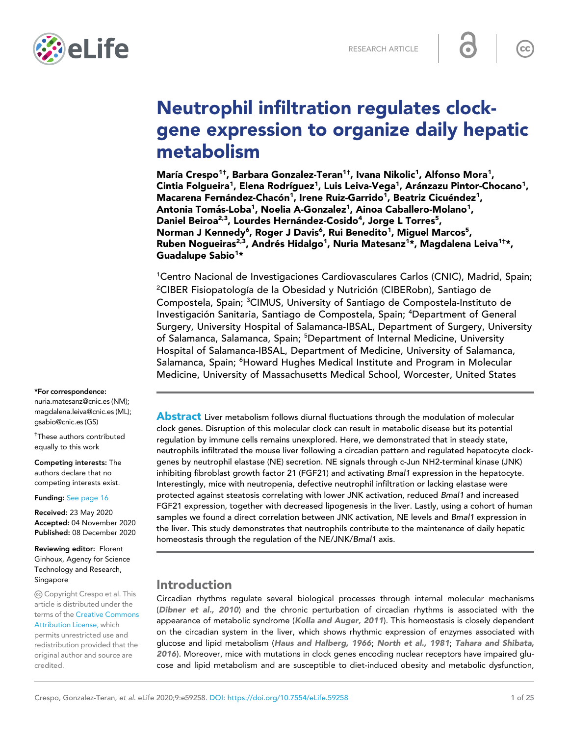

# Neutrophil infiltration regulates clockgene expression to organize daily hepatic metabolism

María Crespo<sup>1†</sup>, Barbara Gonzalez-Teran<sup>1†</sup>, Ivana Nikolic<sup>1</sup>, Alfonso Mora<sup>1</sup>, Cintia Folgueira<sup>1</sup>, Elena Rodríguez<sup>1</sup>, Luis Leiva-Vega<sup>1</sup>, Aránzazu Pintor-Chocano<sup>1</sup>, Macarena Fernández-Chacón<sup>1</sup>, Irene Ruiz-Garrido<sup>1</sup>, Beatriz Cicuéndez<sup>1</sup>, Antonia Tomás-Loba<sup>1</sup>, Noelia A-Gonzalez<sup>1</sup>, Ainoa Caballero-Molano<sup>1</sup>, Daniel Beiroa<sup>2,3</sup>, Lourdes Hernández-Cosido<sup>4</sup>, Jorge L Torres<sup>5</sup>, Norman J Kennedy<sup>6</sup>, Roger J Davis<sup>6</sup>, Rui Benedito<sup>1</sup>, Miguel Marcos<sup>5</sup>, Ruben Nogueiras<sup>2,3</sup>, Andrés Hidalgo<sup>1</sup>, Nuria Matesanz<sup>1</sup>\*, Magdalena Leiva<sup>1†</sup>\*, Guadalupe Sabio<sup>1\*</sup>

<sup>1</sup>Centro Nacional de Investigaciones Cardiovasculares Carlos (CNIC), Madrid, Spain; <sup>2</sup>CIBER Fisiopatología de la Obesidad y Nutrición (CIBERobn), Santiago de Compostela, Spain; <sup>3</sup>CIMUS, University of Santiago de Compostela-Instituto de Investigación Sanitaria, Santiago de Compostela, Spain; <sup>4</sup>Department of General Surgery, University Hospital of Salamanca-IBSAL, Department of Surgery, University of Salamanca, Salamanca, Spain; <sup>5</sup>Department of Internal Medicine, University Hospital of Salamanca-IBSAL, Department of Medicine, University of Salamanca, Salamanca, Spain; <sup>6</sup>Howard Hughes Medical Institute and Program in Molecular Medicine, University of Massachusetts Medical School, Worcester, United States

#### \*For correspondence:

nuria.matesanz@cnic.es (NM); magdalena.leiva@cnic.es (ML); gsabio@cnic.es (GS)

† These authors contributed equally to this work

Competing interests: The authors declare that no competing interests exist.

#### Funding: [See page 16](#page-15-0)

Received: 23 May 2020 Accepted: 04 November 2020 Published: 08 December 2020

Reviewing editor: Florent Ginhoux, Agency for Science Technology and Research, Singapore

Copyright Crespo et al. This article is distributed under the terms of the [Creative Commons](http://creativecommons.org/licenses/by/4.0/) [Attribution License,](http://creativecommons.org/licenses/by/4.0/) which

permits unrestricted use and redistribution provided that the original author and source are credited.

**Abstract** Liver metabolism follows diurnal fluctuations through the modulation of molecular clock genes. Disruption of this molecular clock can result in metabolic disease but its potential regulation by immune cells remains unexplored. Here, we demonstrated that in steady state, neutrophils infiltrated the mouse liver following a circadian pattern and regulated hepatocyte clockgenes by neutrophil elastase (NE) secretion. NE signals through c-Jun NH2-terminal kinase (JNK) inhibiting fibroblast growth factor 21 (FGF21) and activating Bmal1 expression in the hepatocyte. Interestingly, mice with neutropenia, defective neutrophil infiltration or lacking elastase were protected against steatosis correlating with lower JNK activation, reduced Bmal1 and increased FGF21 expression, together with decreased lipogenesis in the liver. Lastly, using a cohort of human samples we found a direct correlation between JNK activation, NE levels and Bmal1 expression in the liver. This study demonstrates that neutrophils contribute to the maintenance of daily hepatic homeostasis through the regulation of the NE/JNK/Bmal1 axis.

### Introduction

Circadian rhythms regulate several biological processes through internal molecular mechanisms ([Dibner et al., 2010](#page-17-0)) and the chronic perturbation of circadian rhythms is associated with the appearance of metabolic syndrome ([Kolla and Auger, 2011](#page-17-0)). This homeostasis is closely dependent on the circadian system in the liver, which shows rhythmic expression of enzymes associated with glucose and lipid metabolism ([Haus and Halberg, 1966](#page-17-0); [North et al., 1981](#page-18-0); [Tahara and Shibata,](#page-18-0) [2016](#page-18-0)). Moreover, mice with mutations in clock genes encoding nuclear receptors have impaired glucose and lipid metabolism and are susceptible to diet-induced obesity and metabolic dysfunction,

 $cc$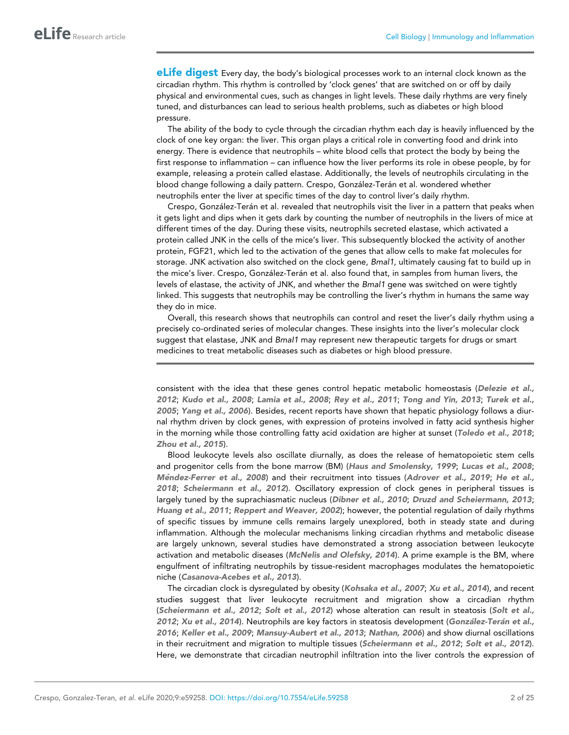**eLife digest** Every day, the body's biological processes work to an internal clock known as the circadian rhythm. This rhythm is controlled by 'clock genes' that are switched on or off by daily physical and environmental cues, such as changes in light levels. These daily rhythms are very finely tuned, and disturbances can lead to serious health problems, such as diabetes or high blood pressure.

The ability of the body to cycle through the circadian rhythm each day is heavily influenced by the clock of one key organ: the liver. This organ plays a critical role in converting food and drink into energy. There is evidence that neutrophils – white blood cells that protect the body by being the first response to inflammation – can influence how the liver performs its role in obese people, by for example, releasing a protein called elastase. Additionally, the levels of neutrophils circulating in the blood change following a daily pattern. Crespo, González-Terán et al. wondered whether neutrophils enter the liver at specific times of the day to control liver's daily rhythm.

Crespo, González-Terán et al. revealed that neutrophils visit the liver in a pattern that peaks when it gets light and dips when it gets dark by counting the number of neutrophils in the livers of mice at different times of the day. During these visits, neutrophils secreted elastase, which activated a protein called JNK in the cells of the mice's liver. This subsequently blocked the activity of another protein, FGF21, which led to the activation of the genes that allow cells to make fat molecules for storage. JNK activation also switched on the clock gene, *Bmal1*, ultimately causing fat to build up in the mice's liver. Crespo, González-Terán et al. also found that, in samples from human livers, the levels of elastase, the activity of JNK, and whether the *Bmal1* gene was switched on were tightly linked. This suggests that neutrophils may be controlling the liver's rhythm in humans the same way they do in mice.

Overall, this research shows that neutrophils can control and reset the liver's daily rhythm using a precisely co-ordinated series of molecular changes. These insights into the liver's molecular clock suggest that elastase, JNK and *BmaI1* may represent new therapeutic targets for drugs or smart medicines to treat metabolic diseases such as diabetes or high blood pressure.

consistent with the idea that these genes control hepatic metabolic homeostasis ([Delezie et al.,](#page-17-0) [2012](#page-17-0); [Kudo et al., 2008](#page-17-0); [Lamia et al., 2008](#page-17-0); [Rey et al., 2011](#page-18-0); [Tong and Yin, 2013](#page-18-0); [Turek et al.,](#page-18-0) [2005](#page-18-0); [Yang et al., 2006](#page-19-0)). Besides, recent reports have shown that hepatic physiology follows a diurnal rhythm driven by clock genes, with expression of proteins involved in fatty acid synthesis higher in the morning while those controlling fatty acid oxidation are higher at sunset ([Toledo et al., 2018](#page-18-0); [Zhou et al., 2015](#page-19-0)).

Blood leukocyte levels also oscillate diurnally, as does the release of hematopoietic stem cells and progenitor cells from the bone marrow (BM) ([Haus and Smolensky, 1999](#page-17-0); [Lucas et al., 2008](#page-17-0); Méndez-Ferrer et al., 2008) and their recruitment into tissues ([Adrover et al., 2019](#page-16-0); [He et al.,](#page-17-0) [2018](#page-17-0); [Scheiermann et al., 2012](#page-18-0)). Oscillatory expression of clock genes in peripheral tissues is largely tuned by the suprachiasmatic nucleus ([Dibner et al., 2010](#page-17-0); [Druzd and Scheiermann, 2013](#page-17-0); [Huang et al., 2011](#page-17-0); [Reppert and Weaver, 2002](#page-18-0)); however, the potential regulation of daily rhythms of specific tissues by immune cells remains largely unexplored, both in steady state and during inflammation. Although the molecular mechanisms linking circadian rhythms and metabolic disease are largely unknown, several studies have demonstrated a strong association between leukocyte activation and metabolic diseases ([McNelis and Olefsky, 2014](#page-18-0)). A prime example is the BM, where engulfment of infiltrating neutrophils by tissue-resident macrophages modulates the hematopoietic niche ([Casanova-Acebes et al., 2013](#page-16-0)).

The circadian clock is dysregulated by obesity ([Kohsaka et al., 2007](#page-17-0); [Xu et al., 2014](#page-19-0)), and recent studies suggest that liver leukocyte recruitment and migration show a circadian rhythm ([Scheiermann et al., 2012](#page-18-0); [Solt et al., 2012](#page-18-0)) whose alteration can result in steatosis ([Solt et al.,](#page-18-0) [2012](#page-18-0); [Xu et al., 2014](#page-19-0)). Neutrophils are key factors in steatosis development (González-Terán et al., [2016](#page-17-0); [Keller et al., 2009](#page-17-0); [Mansuy-Aubert et al., 2013](#page-18-0); [Nathan, 2006](#page-18-0)) and show diurnal oscillations in their recruitment and migration to multiple tissues ([Scheiermann et al., 2012](#page-18-0); [Solt et al., 2012](#page-18-0)). Here, we demonstrate that circadian neutrophil infiltration into the liver controls the expression of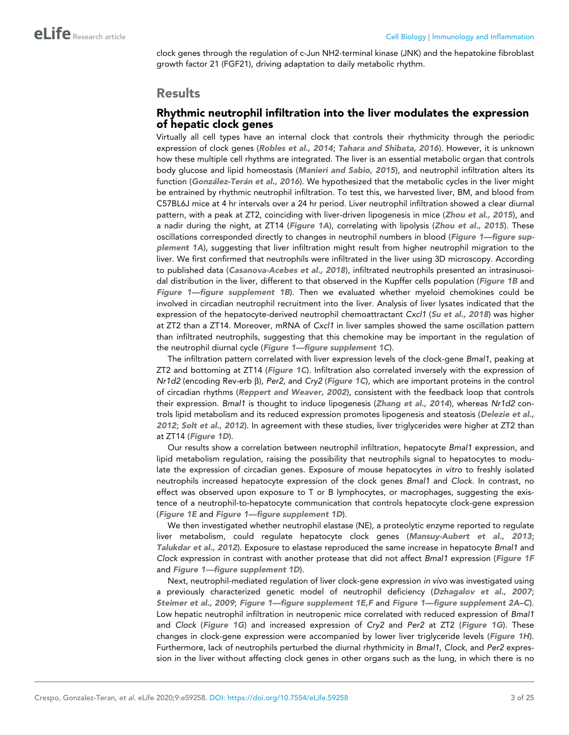clock genes through the regulation of c-Jun NH2-terminal kinase (JNK) and the hepatokine fibroblast growth factor 21 (FGF21), driving adaptation to daily metabolic rhythm.

### Results

### Rhythmic neutrophil infiltration into the liver modulates the expression of hepatic clock genes

Virtually all cell types have an internal clock that controls their rhythmicity through the periodic expression of clock genes ([Robles et al., 2014](#page-18-0); [Tahara and Shibata, 2016](#page-18-0)). However, it is unknown how these multiple cell rhythms are integrated. The liver is an essential metabolic organ that controls body glucose and lipid homeostasis ([Manieri and Sabio, 2015](#page-17-0)), and neutrophil infiltration alters its function (González-Terán et al., 2016). We hypothesized that the metabolic cycles in the liver might be entrained by rhythmic neutrophil infiltration. To test this, we harvested liver, BM, and blood from C57BL6J mice at 4 hr intervals over a 24 hr period. Liver neutrophil infiltration showed a clear diurnal pattern, with a peak at ZT2, coinciding with liver-driven lipogenesis in mice ([Zhou et al., 2015](#page-19-0)), and a nadir during the night, at ZT14 ([Figure 1A](#page-3-0)), correlating with lipolysis ([Zhou et al., 2015](#page-19-0)). These oscillations corresponded directly to changes in neutrophil numbers in blood ([Figure 1—figure sup](#page-4-0)[plement 1A](#page-4-0)), suggesting that liver infiltration might result from higher neutrophil migration to the liver. We first confirmed that neutrophils were infiltrated in the liver using 3D microscopy. According to published data ([Casanova-Acebes et al., 2018](#page-16-0)), infiltrated neutrophils presented an intrasinusoidal distribution in the liver, different to that observed in the Kupffer cells population ([Figure 1B](#page-3-0) and [Figure 1—figure supplement 1B](#page-4-0)). Then we evaluated whether myeloid chemokines could be involved in circadian neutrophil recruitment into the liver. Analysis of liver lysates indicated that the expression of the hepatocyte-derived neutrophil chemoattractant *Cxcl1* ([Su et al., 2018](#page-18-0)) was higher at ZT2 than a ZT14. Moreover, mRNA of *Cxcl1* in liver samples showed the same oscillation pattern than infiltrated neutrophils, suggesting that this chemokine may be important in the regulation of the neutrophil diurnal cycle ([Figure 1—figure supplement 1C](#page-4-0)).

The infiltration pattern correlated with liver expression levels of the clock-gene *Bmal1*, peaking at ZT2 and bottoming at ZT14 ([Figure 1C](#page-3-0)). Infiltration also correlated inversely with the expression of *Nr1d2* (encoding Rev-erb β), *Per2*, and *Cry2* ([Figure 1C](#page-3-0)), which are important proteins in the control of circadian rhythms ([Reppert and Weaver, 2002](#page-18-0)), consistent with the feedback loop that controls their expression. *Bmal1* is thought to induce lipogenesis ([Zhang et al., 2014](#page-19-0)), whereas *Nr1d2* con-trols lipid metabolism and its reduced expression promotes lipogenesis and steatosis ([Delezie et al.,](#page-17-0) [2012](#page-17-0); [Solt et al., 2012](#page-18-0)). In agreement with these studies, liver triglycerides were higher at ZT2 than at ZT14 ([Figure 1D](#page-3-0)).

Our results show a correlation between neutrophil infiltration, hepatocyte *Bmal1* expression, and lipid metabolism regulation, raising the possibility that neutrophils signal to hepatocytes to modulate the expression of circadian genes. Exposure of mouse hepatocytes *in vitro* to freshly isolated neutrophils increased hepatocyte expression of the clock genes *Bmal1* and *Clock.* In contrast, no effect was observed upon exposure to T or B lymphocytes, or macrophages, suggesting the existence of a neutrophil-to-hepatocyte communication that controls hepatocyte clock-gene expression ([Figure 1E](#page-3-0) and [Figure 1—figure supplement 1D](#page-4-0)).

We then investigated whether neutrophil elastase (NE), a proteolytic enzyme reported to regulate liver metabolism, could regulate hepatocyte clock genes ([Mansuy-Aubert et al., 2013](#page-18-0); [Talukdar et al., 2012](#page-18-0)). Exposure to elastase reproduced the same increase in hepatocyte *Bmal1* and *Clock* expression in contrast with another protease that did not affect *Bmal1* expression ([Figure 1F](#page-3-0) and [Figure 1—figure supplement 1D](#page-4-0)).

Next, neutrophil-mediated regulation of liver clock-gene expression *in vivo* was investigated using a previously characterized genetic model of neutrophil deficiency ([Dzhagalov et al., 2007](#page-17-0); [Steimer et al., 2009](#page-18-0); [Figure 1—figure supplement 1E,F](#page-4-0) and [Figure 1—figure supplement 2A–C](#page-4-0)). Low hepatic neutrophil infiltration in neutropenic mice correlated with reduced expression of *Bmal1* and *Clock* ([Figure 1G](#page-3-0)) and increased expression of *Cry2* and *Per2* at ZT2 ([Figure 1G](#page-3-0)). These changes in clock-gene expression were accompanied by lower liver triglyceride levels ([Figure 1H](#page-3-0)). Furthermore, lack of neutrophils perturbed the diurnal rhythmicity in *Bmal1*, *Clock*, and *Per2* expression in the liver without affecting clock genes in other organs such as the lung, in which there is no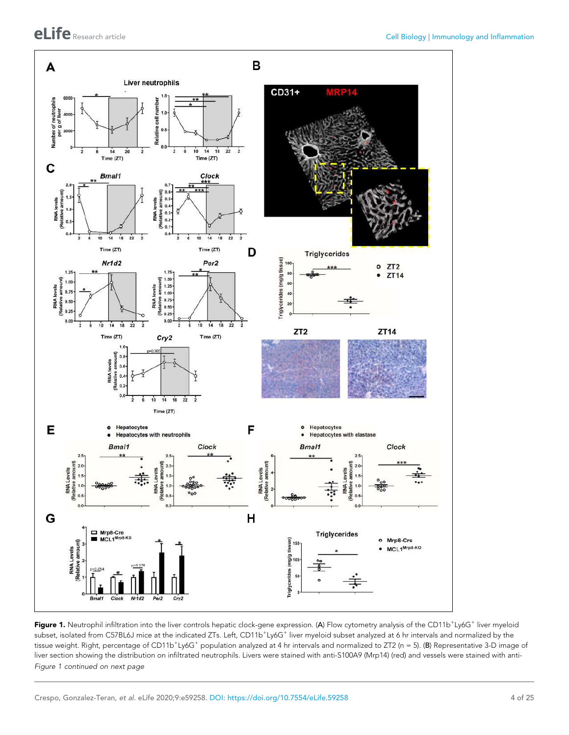<span id="page-3-0"></span>

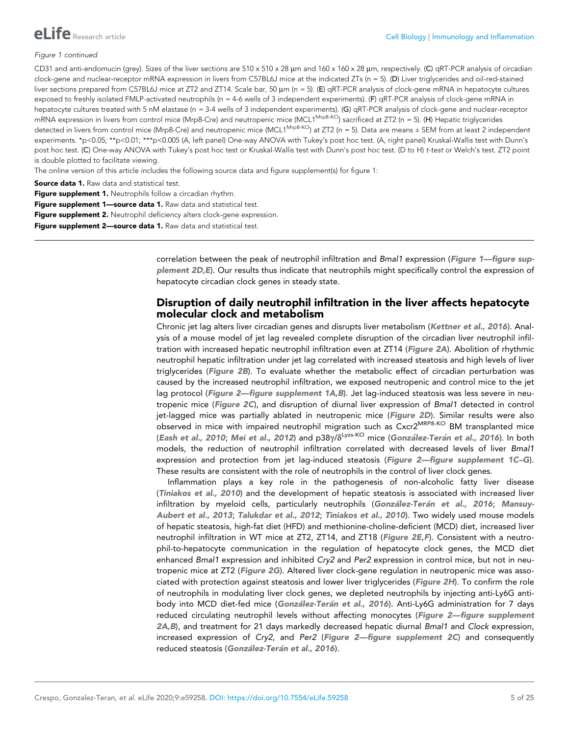#### <span id="page-4-0"></span>Figure 1 continued

CD31 and anti-endomucin (grey). Sizes of the liver sections are 510 x 510 x 28 µm and 160 x 160 x 28 µm, respectively. (C) qRT-PCR analysis of circadian clock-gene and nuclear-receptor mRNA expression in livers from C57BL6J mice at the indicated ZTs ( $n = 5$ ). (D) Liver triglycerides and oil-red-stained liver sections prepared from C57BL6J mice at ZT2 and ZT14. Scale bar, 50  $\mu$ m (n = 5). (E) qRT-PCR analysis of clock-gene mRNA in hepatocyte cultures exposed to freshly isolated FMLP-activated neutrophils (n = 4-6 wells of 3 independent experiments). (F) qRT-PCR analysis of clock-gene mRNA in hepatocyte cultures treated with 5 nM elastase (n = 3-4 wells of 3 independent experiments). (G) qRT-PCR analysis of clock-gene and nuclear-receptor mRNA expression in livers from control mice (Mrp8-Cre) and neutropenic mice (MCL1<sup>Mrp8-KO</sup>) sacrificed at ZT2 (n = 5). (H) Hepatic triglycerides detected in livers from control mice (Mrp8-Cre) and neutropenic mice (MCL1<sup>Mrp8-KO</sup>) at ZT2 (n = 5). Data are means ± SEM from at least 2 independent experiments. \*p<0.05; \*\*p<0.01; \*\*\*p<0.005 (A, left panel) One-way ANOVA with Tukey's post hoc test. (A, right panel) Kruskal-Wallis test with Dunn's post hoc test. (C) One-way ANOVA with Tukey's post hoc test or Kruskal-Wallis test with Dunn's post hoc test. (D to H) t-test or Welch's test. ZT2 point is double plotted to facilitate viewing.

The online version of this article includes the following source data and figure supplement(s) for figure 1:

Source data 1. Raw data and statistical test.

Figure supplement 1. Neutrophils follow a circadian rhythm.

Figure supplement 1-source data 1. Raw data and statistical test.

- Figure supplement 2. Neutrophil deficiency alters clock-gene expression.
- Figure supplement 2-source data 1. Raw data and statistical test.

correlation between the peak of neutrophil infiltration and *Bmal1* expression (Figure 1—figure supplement 2D,E). Our results thus indicate that neutrophils might specifically control the expression of hepatocyte circadian clock genes in steady state.

### Disruption of daily neutrophil infiltration in the liver affects hepatocyte molecular clock and metabolism

Chronic jet lag alters liver circadian genes and disrupts liver metabolism ([Kettner et al., 2016](#page-17-0)). Analysis of a mouse model of jet lag revealed complete disruption of the circadian liver neutrophil infiltration with increased hepatic neutrophil infiltration even at ZT14 ([Figure 2A](#page-5-0)). Abolition of rhythmic neutrophil hepatic infiltration under jet lag correlated with increased steatosis and high levels of liver triglycerides ([Figure 2B](#page-5-0)). To evaluate whether the metabolic effect of circadian perturbation was caused by the increased neutrophil infiltration, we exposed neutropenic and control mice to the jet lag protocol (Figure 2-figure supplement 1A,B). Jet lag-induced steatosis was less severe in neutropenic mice ([Figure 2C](#page-5-0)), and disruption of diurnal liver expression of *Bmal1* detected in control jet-lagged mice was partially ablated in neutropenic mice ([Figure 2D](#page-5-0)). Similar results were also observed in mice with impaired neutrophil migration such as Cxcr2<sup>MRP8-KO</sup> BM transplanted mice ([Eash et al., 2010](#page-17-0); [Mei et al., 2012](#page-18-0)) and p38 $\gamma/\delta^{\rm Lyzs\text{-}KO}$  mice (González-Terán et al., 2016). In both models, the reduction of neutrophil infiltration correlated with decreased levels of liver *Bmal1* expression and protection from jet lag-induced steatosis ([Figure 2—figure supplement 1C–G](#page-5-0)). These results are consistent with the role of neutrophils in the control of liver clock genes.

Inflammation plays a key role in the pathogenesis of non-alcoholic fatty liver disease ([Tiniakos et al., 2010](#page-18-0)) and the development of hepatic steatosis is associated with increased liver infiltration by myeloid cells, particularly neutrophils (González-Terán et al., 2016; [Mansuy-](#page-18-0)[Aubert et al., 2013](#page-18-0); [Talukdar et al., 2012](#page-18-0); [Tiniakos et al., 2010](#page-18-0)). Two widely used mouse models of hepatic steatosis, high-fat diet (HFD) and methionine-choline-deficient (MCD) diet, increased liver neutrophil infiltration in WT mice at ZT2, ZT14, and ZT18 ([Figure 2E,F](#page-5-0)). Consistent with a neutrophil-to-hepatocyte communication in the regulation of hepatocyte clock genes, the MCD diet enhanced *Bmal1* expression and inhibited *Cry2* and *Per2* expression in control mice, but not in neu-tropenic mice at ZT2 ([Figure 2G](#page-5-0)). Altered liver clock-gene regulation in neutropenic mice was associated with protection against steatosis and lower liver triglycerides ([Figure 2H](#page-5-0)). To confirm the role of neutrophils in modulating liver clock genes, we depleted neutrophils by injecting anti-Ly6G antibody into MCD diet-fed mice (González-Terán et al., 2016). Anti-Ly6G administration for 7 days reduced circulating neutrophil levels without affecting monocytes ([Figure 2—figure supplement](#page-5-0) [2A,B](#page-5-0)), and treatment for 21 days markedly decreased hepatic diurnal *Bmal1* and *Clock* expression, increased expression of *Cry2*, and *Per2* ([Figure 2—figure supplement 2C](#page-5-0)) and consequently reduced steatosis (González-Terán et al., 2016).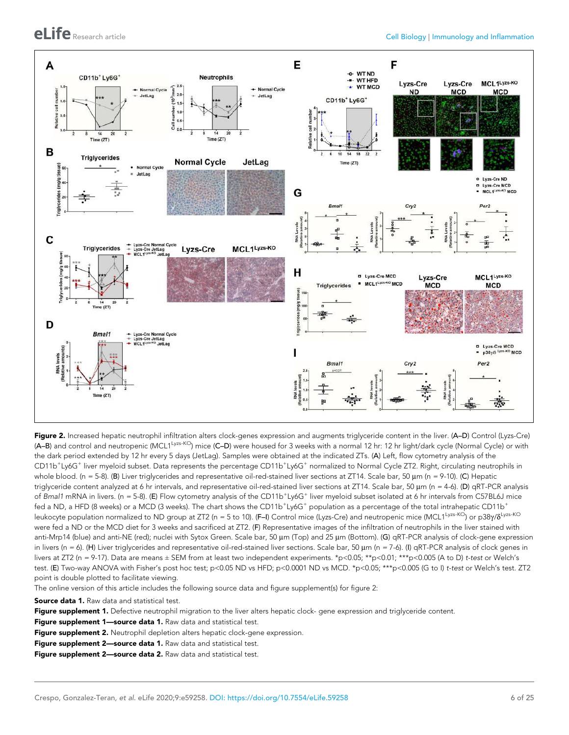<span id="page-5-0"></span>

Figure 2. Increased hepatic neutrophil infiltration alters clock-genes expression and augments triglyceride content in the liver. (A–D) Control (Lyzs-Cre) (A–B) and control and neutropenic (MCL1<sup>Lyzs-KO</sup>) mice (C–D) were housed for 3 weeks with a normal 12 hr: 12 hr light/dark cycle (Normal Cycle) or with the dark period extended by 12 hr every 5 days (JetLag). Samples were obtained at the indicated ZTs. (A) Left, flow cytometry analysis of the CD11b<sup>+</sup>Ly6G<sup>+</sup> liver myeloid subset. Data represents the percentage CD11b<sup>+</sup>Ly6G<sup>+</sup> normalized to Normal Cycle ZT2. Right, circulating neutrophils in whole blood. (n = 5-8). (B) Liver triglycerides and representative oil-red-stained liver sections at ZT14. Scale bar, 50  $\mu$ m (n = 9-10). (C) Hepatic triglyceride content analyzed at 6 hr intervals, and representative oil-red-stained liver sections at ZT14. Scale bar, 50  $\mu$ m (n = 4-6). (D) qRT-PCR analysis of Bmal1 mRNA in livers. (n = 5-8). (E) Flow cytometry analysis of the CD11b<sup>+</sup>Ly6G<sup>+</sup> liver myeloid subset isolated at 6 hr intervals from C57BL6J mice fed a ND, a HFD (8 weeks) or a MCD (3 weeks). The chart shows the CD11b<sup>+</sup>Ly6G<sup>+</sup> population as a percentage of the total intrahepatic CD11b<sup>+</sup> leukocyte population normalized to ND group at ZT2 (n = 5 to 10). (**F–I**) Control mice (Lyzs-Cre) and neutropenic mice (MCL1<sup>Lyzs-KO</sup>) or p38γ/δ<sup>Lyzs-KO</sup> were fed a ND or the MCD diet for 3 weeks and sacrificed at ZT2. (F) Representative images of the infiltration of neutrophils in the liver stained with anti-Mrp14 (blue) and anti-NE (red); nuclei with Sytox Green. Scale bar, 50 µm (Top) and 25 µm (Bottom). (G) qRT-PCR analysis of clock-gene expression in livers ( $n = 6$ ). (H) Liver triglycerides and representative oil-red-stained liver sections. Scale bar, 50  $\mu$ m ( $n = 7$ -6). (I) qRT-PCR analysis of clock genes in livers at ZT2 (n = 9-17). Data are means ± SEM from at least two independent experiments. \*p<0.05; \*\*p<0.01; \*\*\*p<0.005 (A to D) t-test or Welch's test. (E) Two-way ANOVA with Fisher's post hoc test; p<0.05 ND vs HFD; p<0.0001 ND vs MCD. \*p<0.05; \*\*\*p<0.005 (G to I) t-test or Welch's test. ZT2 point is double plotted to facilitate viewing.

The online version of this article includes the following source data and figure supplement(s) for figure 2:

Source data 1. Raw data and statistical test.

Figure supplement 1. Defective neutrophil migration to the liver alters hepatic clock- gene expression and triglyceride content.

Figure supplement 1-source data 1. Raw data and statistical test.

Figure supplement 2. Neutrophil depletion alters hepatic clock-gene expression.

Figure supplement 2-source data 1. Raw data and statistical test.

Figure supplement 2-source data 2. Raw data and statistical test.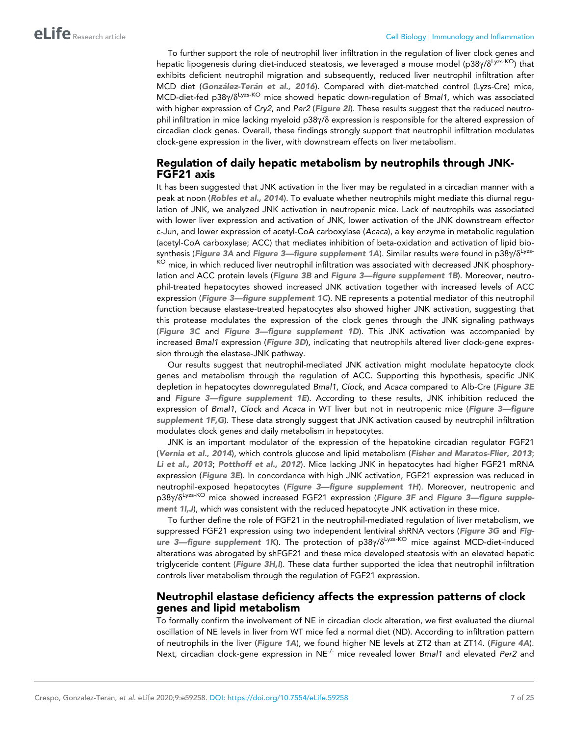To further support the role of neutrophil liver infiltration in the regulation of liver clock genes and hepatic lipogenesis during diet-induced steatosis, we leveraged a mouse model (p38y/δ<sup>Lyzs-KO</sup>) that exhibits deficient neutrophil migration and subsequently, reduced liver neutrophil infiltration after MCD diet (González-Terán et al., 2016). Compared with diet-matched control (Lyzs-Cre) mice, MCD-diet-fed p38 $\gamma/\delta^{\rm Lyzs-KO}$  mice showed hepatic down-regulation of *Bmal1*, which was associated with higher expression of *Cry2*, and *Per2* ([Figure 2I](#page-5-0)). These results suggest that the reduced neutrophil infiltration in mice lacking myeloid  $p38\gamma/\delta$  expression is responsible for the altered expression of circadian clock genes. Overall, these findings strongly support that neutrophil infiltration modulates clock-gene expression in the liver, with downstream effects on liver metabolism.

### Regulation of daily hepatic metabolism by neutrophils through JNK-FGF21 axis

It has been suggested that JNK activation in the liver may be regulated in a circadian manner with a peak at noon ([Robles et al., 2014](#page-18-0)). To evaluate whether neutrophils might mediate this diurnal regulation of JNK, we analyzed JNK activation in neutropenic mice. Lack of neutrophils was associated with lower liver expression and activation of JNK, lower activation of the JNK downstream effector c-Jun, and lower expression of acetyl-CoA carboxylase (*Acaca*), a key enzyme in metabolic regulation (acetyl-CoA carboxylase; ACC) that mediates inhibition of beta-oxidation and activation of lipid biosynthesis (**[Figure 3A](#page-7-0)** and **[Figure 3—figure supplement 1A](#page-8-0)**). Similar results were found in p38 $\gamma/\delta^{Lyzs}$ KO mice, in which reduced liver neutrophil infiltration was associated with decreased JNK phosphory-

lation and ACC protein levels ([Figure 3B](#page-7-0) and Figure 3-figure supplement 1B). Moreover, neutrophil-treated hepatocytes showed increased JNK activation together with increased levels of ACC expression ([Figure 3—figure supplement 1C](#page-8-0)). NE represents a potential mediator of this neutrophil function because elastase-treated hepatocytes also showed higher JNK activation, suggesting that this protease modulates the expression of the clock genes through the JNK signaling pathways ([Figure 3C](#page-7-0) and [Figure 3—figure supplement 1D](#page-8-0)). This JNK activation was accompanied by increased *Bmal1* expression ([Figure 3D](#page-7-0)), indicating that neutrophils altered liver clock-gene expression through the elastase-JNK pathway.

Our results suggest that neutrophil-mediated JNK activation might modulate hepatocyte clock genes and metabolism through the regulation of ACC. Supporting this hypothesis, specific JNK depletion in hepatocytes downregulated *Bmal1*, *Clock*, and *Acaca* compared to Alb-Cre ([Figure 3E](#page-7-0) and Figure 3-figure supplement 1E). According to these results, JNK inhibition reduced the expression of *Bmal1*, *Clock* and *Acaca* in WT liver but not in neutropenic mice ([Figure 3—figure](#page-8-0) [supplement 1F,G](#page-8-0)). These data strongly suggest that JNK activation caused by neutrophil infiltration modulates clock genes and daily metabolism in hepatocytes.

JNK is an important modulator of the expression of the hepatokine circadian regulator FGF21 ([Vernia et al., 2014](#page-18-0)), which controls glucose and lipid metabolism ([Fisher and Maratos-Flier, 2013](#page-17-0); [Li et al., 2013](#page-17-0); [Potthoff et al., 2012](#page-18-0)). Mice lacking JNK in hepatocytes had higher FGF21 mRNA expression ([Figure 3E](#page-7-0)). In concordance with high JNK activation, FGF21 expression was reduced in neutrophil-exposed hepatocytes (Figure 3-figure supplement 1H). Moreover, neutropenic and p38y/8<sup>Lyzs-KO</sup> mice showed increased FGF21 expression ([Figure 3F](#page-7-0) and [Figure 3—figure supple](#page-8-0)[ment 1I,J](#page-8-0)), which was consistent with the reduced hepatocyte JNK activation in these mice.

To further define the role of FGF21 in the neutrophil-mediated regulation of liver metabolism, we suppressed FGF21 expression using two independent lentiviral shRNA vectors ([Figure 3G](#page-7-0) and [Fig](#page-8-0)[ure 3—figure supplement 1K](#page-8-0)). The protection of p38y/8<sup>Lyzs-KO</sup> mice against MCD-diet-induced alterations was abrogated by shFGF21 and these mice developed steatosis with an elevated hepatic triglyceride content (Figure 3H, I). These data further supported the idea that neutrophil infiltration controls liver metabolism through the regulation of FGF21 expression.

### Neutrophil elastase deficiency affects the expression patterns of clock genes and lipid metabolism

To formally confirm the involvement of NE in circadian clock alteration, we first evaluated the diurnal oscillation of NE levels in liver from WT mice fed a normal diet (ND). According to infiltration pattern of neutrophils in the liver ([Figure 1A](#page-3-0)), we found higher NE levels at ZT2 than at ZT14. ([Figure 4A](#page-9-0)). Next, circadian clock-gene expression in NE-/- mice revealed lower *Bmal1* and elevated *Per2* and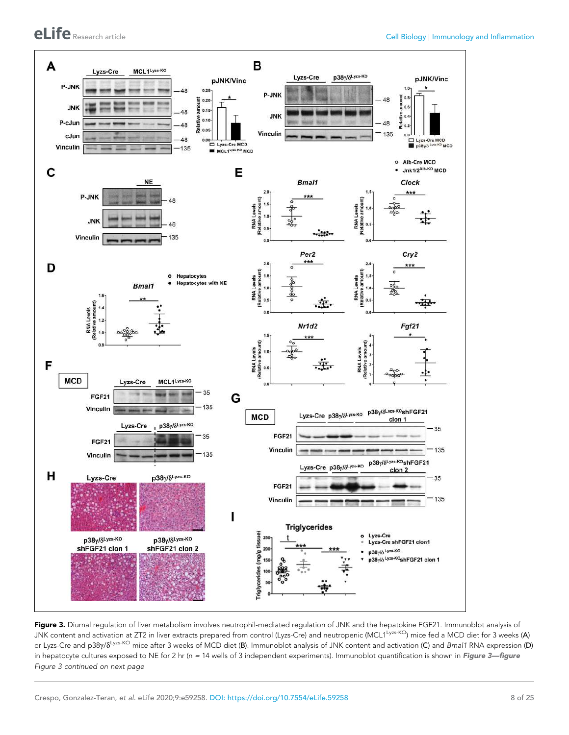<span id="page-7-0"></span>

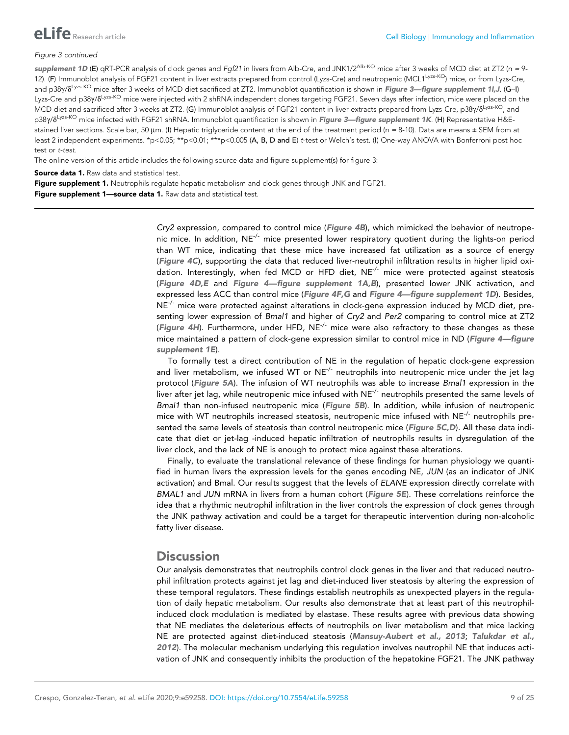<span id="page-8-0"></span>

#### Figure 3 continued

supplement 1D (E) qRT-PCR analysis of clock genes and Fgf21 in livers from Alb-Cre, and JNK1/2<sup>Alb-KO</sup> mice after 3 weeks of MCD diet at ZT2 (n = 9-12). (F) Immunoblot analysis of FGF21 content in liver extracts prepared from control (Lyzs-Cre) and neutropenic (MCL1<sup>Lyzs-KO</sup>) mice, or from Lyzs-Cre, and p38y/8<sup>Lyzs-KO</sup> mice after 3 weeks of MCD diet sacrificed at ZT2. Immunoblot quantification is shown in **Figure 3—figure supplement 1I,J**. **(G–I**) Lyzs-Cre and p38y/8<sup>Lyzs-KO</sup> mice were injected with 2 shRNA independent clones targeting FGF21. Seven days after infection, mice were placed on the MCD diet and sacrificed after 3 weeks at ZT2. (G) Immunoblot analysis of FGF21 content in liver extracts prepared from Lyzs-Cre, p38y/δ<sup>Lyzs-KO</sup>, and p38y/δ<sup>Lyzs-KO</sup> mice infected with FGF21 shRNA. Immunoblot quantification is shown in **Figure 3—figure supplement 1K**. (**H**) Representative H&Estained liver sections. Scale bar, 50 µm. (I) Hepatic triglyceride content at the end of the treatment period (n = 8-10). Data are means  $\pm$  SEM from at least 2 independent experiments. \*p<0.05; \*\*p<0.01; \*\*\*p<0.005 (A, B, D and E) t-test or Welch's test. (I) One-way ANOVA with Bonferroni post hoc test or t-test.

The online version of this article includes the following source data and figure supplement(s) for figure 3:

Source data 1. Raw data and statistical test.

Figure supplement 1. Neutrophils regulate hepatic metabolism and clock genes through JNK and FGF21.

Figure supplement 1-source data 1. Raw data and statistical test.

*Cry2* expression, compared to control mice ([Figure 4B](#page-9-0)), which mimicked the behavior of neutropenic mice. In addition,  $NE^{-1}$  mice presented lower respiratory quotient during the lights-on period than WT mice, indicating that these mice have increased fat utilization as a source of energy ([Figure 4C](#page-9-0)), supporting the data that reduced liver-neutrophil infiltration results in higher lipid oxidation. Interestingly, when fed MCD or HFD diet,  $NE^{-/-}$  mice were protected against steatosis ([Figure 4D,E](#page-9-0) and [Figure 4—figure supplement 1A,B](#page-10-0)), presented lower JNK activation, and expressed less ACC than control mice ([Figure 4F,G](#page-9-0) and [Figure 4—figure supplement 1D](#page-10-0)). Besides, NE<sup>-/-</sup> mice were protected against alterations in clock-gene expression induced by MCD diet, presenting lower expression of *Bmal1* and higher of *Cry2* and *Per2* comparing to control mice at ZT2 ([Figure 4H](#page-9-0)). Furthermore, under HFD,  $NE^{-/-}$  mice were also refractory to these changes as these mice maintained a pattern of clock-gene expression similar to control mice in ND ([Figure 4—figure](#page-10-0) [supplement 1E](#page-10-0)).

To formally test a direct contribution of NE in the regulation of hepatic clock-gene expression and liver metabolism, we infused WT or  $NE^{-/-}$  neutrophils into neutropenic mice under the jet lag protocol ([Figure 5A](#page-11-0)). The infusion of WT neutrophils was able to increase *Bmal1* expression in the liver after jet lag, while neutropenic mice infused with  $NE^{-/2}$  neutrophils presented the same levels of *Bmal1* than non-infused neutropenic mice ([Figure 5B](#page-11-0)). In addition, while infusion of neutropenic mice with WT neutrophils increased steatosis, neutropenic mice infused with  $NE^{-/2}$  neutrophils pre-sented the same levels of steatosis than control neutropenic mice ([Figure 5C,D](#page-11-0)). All these data indicate that diet or jet-lag -induced hepatic infiltration of neutrophils results in dysregulation of the liver clock, and the lack of NE is enough to protect mice against these alterations.

Finally, to evaluate the translational relevance of these findings for human physiology we quantified in human livers the expression levels for the genes encoding NE, *JUN* (as an indicator of JNK activation) and Bmal. Our results suggest that the levels of *ELANE* expression directly correlate with *BMAL1* and *JUN* mRNA in livers from a human cohort ([Figure 5E](#page-11-0)). These correlations reinforce the idea that a rhythmic neutrophil infiltration in the liver controls the expression of clock genes through the JNK pathway activation and could be a target for therapeutic intervention during non-alcoholic fatty liver disease.

### **Discussion**

Our analysis demonstrates that neutrophils control clock genes in the liver and that reduced neutrophil infiltration protects against jet lag and diet-induced liver steatosis by altering the expression of these temporal regulators. These findings establish neutrophils as unexpected players in the regulation of daily hepatic metabolism. Our results also demonstrate that at least part of this neutrophilinduced clock modulation is mediated by elastase. These results agree with previous data showing that NE mediates the deleterious effects of neutrophils on liver metabolism and that mice lacking NE are protected against diet-induced steatosis ([Mansuy-Aubert et al., 2013](#page-18-0); [Talukdar et al.,](#page-18-0) [2012](#page-18-0)). The molecular mechanism underlying this regulation involves neutrophil NE that induces activation of JNK and consequently inhibits the production of the hepatokine FGF21. The JNK pathway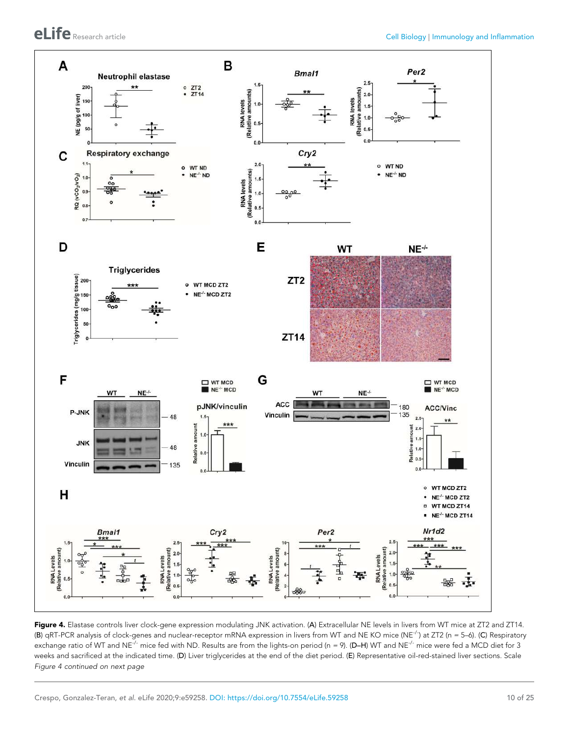<span id="page-9-0"></span>

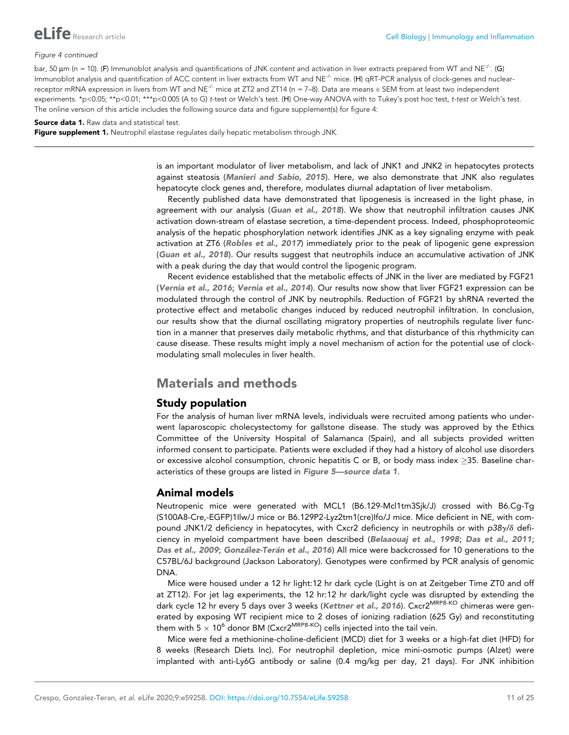<span id="page-10-0"></span>

#### Figure 4 continued

bar, 50  $\mu$ m (n = 10). (F) Immunoblot analysis and quantifications of JNK content and activation in liver extracts prepared from WT and NE<sup>-/-</sup>. (G) Immunoblot analysis and quantification of ACC content in liver extracts from WT and NE<sup>-/-</sup> mice. (H) qRT-PCR analysis of clock-genes and nuclearreceptor mRNA expression in livers from WT and NE<sup>-/-</sup> mice at ZT2 and ZT14 (n = 7-8). Data are means  $\pm$  SEM from at least two independent experiments. \*p<0.05; \*\*p<0.01; \*\*\*p<0.005 (A to G) t-test or Welch's test. (H) One-way ANOVA with to Tukey's post hoc test, t-test or Welch's test. The online version of this article includes the following source data and figure supplement(s) for figure 4:

Source data 1. Raw data and statistical test.

Figure supplement 1. Neutrophil elastase regulates daily hepatic metabolism through JNK.

is an important modulator of liver metabolism, and lack of JNK1 and JNK2 in hepatocytes protects against steatosis ([Manieri and Sabio, 2015](#page-17-0)). Here, we also demonstrate that JNK also regulates hepatocyte clock genes and, therefore, modulates diurnal adaptation of liver metabolism.

Recently published data have demonstrated that lipogenesis is increased in the light phase, in agreement with our analysis ([Guan et al., 2018](#page-17-0)). We show that neutrophil infiltration causes JNK activation down-stream of elastase secretion, a time-dependent process. Indeed, phosphoproteomic analysis of the hepatic phosphorylation network identifies JNK as a key signaling enzyme with peak activation at ZT6 ([Robles et al., 2017](#page-18-0)) immediately prior to the peak of lipogenic gene expression ([Guan et al., 2018](#page-17-0)). Our results suggest that neutrophils induce an accumulative activation of JNK with a peak during the day that would control the lipogenic program.

Recent evidence established that the metabolic effects of JNK in the liver are mediated by FGF21 ([Vernia et al., 2016](#page-18-0); [Vernia et al., 2014](#page-18-0)). Our results now show that liver FGF21 expression can be modulated through the control of JNK by neutrophils. Reduction of FGF21 by shRNA reverted the protective effect and metabolic changes induced by reduced neutrophil infiltration. In conclusion, our results show that the diurnal oscillating migratory properties of neutrophils regulate liver function in a manner that preserves daily metabolic rhythms, and that disturbance of this rhythmicity can cause disease. These results might imply a novel mechanism of action for the potential use of clockmodulating small molecules in liver health.

### Materials and methods

### Study population

For the analysis of human liver mRNA levels, individuals were recruited among patients who underwent laparoscopic cholecystectomy for gallstone disease. The study was approved by the Ethics Committee of the University Hospital of Salamanca (Spain), and all subjects provided written informed consent to participate. Patients were excluded if they had a history of alcohol use disorders or excessive alcohol consumption, chronic hepatitis C or B, or body mass index 35. Baseline characteristics of these groups are listed in [Figure 5—source data 1](#page-12-0).

#### Animal models

Neutropenic mice were generated with MCL1 (B6.129-Mcl1tm3Sjk/J) crossed with B6.Cg-Tg (S100A8-Cre,-EGFP)1Ilw/J mice or B6.129P2-Lyz2tm1(cre)Ifo/J mice. Mice deficient in NE, with compound JNK1/2 deficiency in hepatocytes, with Cxcr2 deficiency in neutrophils or with *p38*g/d deficiency in myeloid compartment have been described ([Belaaouaj et al., 1998](#page-16-0); [Das et al., 2011](#page-17-0); [Das et al., 2009](#page-17-0); González-Terán et al., 2016) All mice were backcrossed for 10 generations to the C57BL/6J background (Jackson Laboratory). Genotypes were confirmed by PCR analysis of genomic DNA.

Mice were housed under a 12 hr light:12 hr dark cycle (Light is on at Zeitgeber Time ZT0 and off at ZT12). For jet lag experiments, the 12 hr:12 hr dark/light cycle was disrupted by extending the dark cycle 12 hr every 5 days over 3 weeks ([Kettner et al., 2016](#page-17-0)). Cxcr2<sup>MRP8-KO</sup> chimeras were generated by exposing WT recipient mice to 2 doses of ionizing radiation (625 Gy) and reconstituting them with 5  $\times$  10<sup>6</sup> donor BM (Cxcr2<sup>MRP8-KO</sup>) cells injected into the tail vein.

Mice were fed a methionine-choline-deficient (MCD) diet for 3 weeks or a high-fat diet (HFD) for 8 weeks (Research Diets Inc). For neutrophil depletion, mice mini-osmotic pumps (Alzet) were implanted with anti-Ly6G antibody or saline (0.4 mg/kg per day, 21 days). For JNK inhibition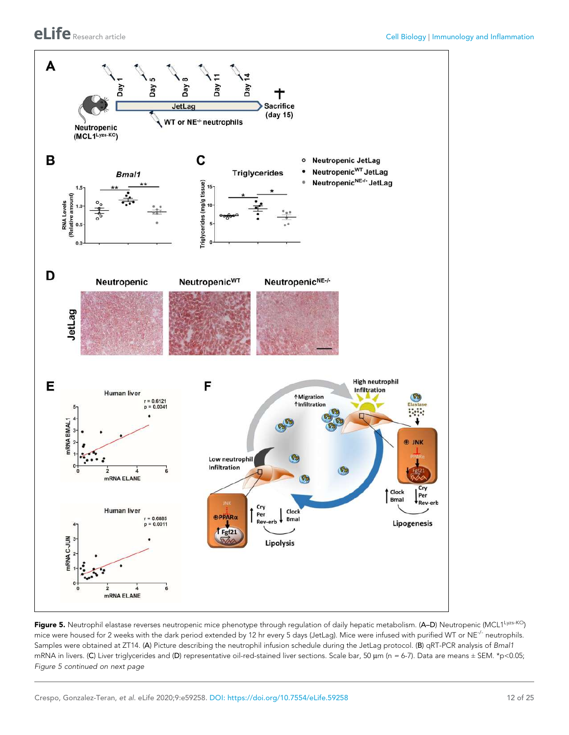<span id="page-11-0"></span>elife Research article **Cell Biology | Immunology and Inflammation** 



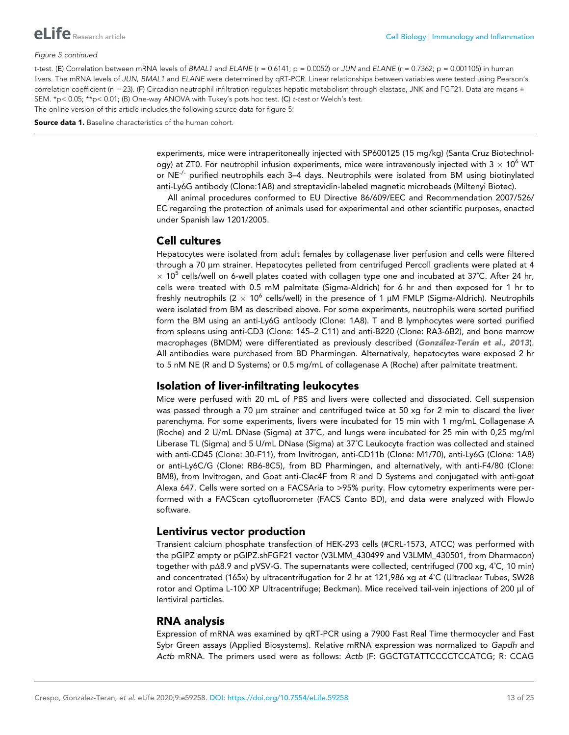<span id="page-12-0"></span>

#### Figure 5 continued

t-test. (E) Correlation between mRNA levels of BMAL1 and ELANE (r = 0.6141;  $p = 0.0052$ ) or JUN and ELANE (r = 0.7362;  $p = 0.001105$ ) in human livers. The mRNA levels of JUN, BMAL1 and ELANE were determined by qRT-PCR. Linear relationships between variables were tested using Pearson's correlation coefficient (n = 23). (F) Circadian neutrophil infiltration regulates hepatic metabolism through elastase, JNK and FGF21. Data are means ± SEM. \*p< 0.05; \*\*p< 0.01; (B) One-way ANOVA with Tukey's pots hoc test. (C) t-test or Welch's test.

The online version of this article includes the following source data for figure 5:

Source data 1. Baseline characteristics of the human cohort.

experiments, mice were intraperitoneally injected with SP600125 (15 mg/kg) (Santa Cruz Biotechnology) at ZT0. For neutrophil infusion experiments, mice were intravenously injected with 3  $\times$  10<sup>6</sup> WT or  $NE^{-/-}$  purified neutrophils each 3–4 days. Neutrophils were isolated from BM using biotinylated anti-Ly6G antibody (Clone:1A8) and streptavidin-labeled magnetic microbeads (Miltenyi Biotec).

All animal procedures conformed to EU Directive 86/609/EEC and Recommendation 2007/526/ EC regarding the protection of animals used for experimental and other scientific purposes, enacted under Spanish law 1201/2005.

#### Cell cultures

Hepatocytes were isolated from adult females by collagenase liver perfusion and cells were filtered through a 70 µm strainer. Hepatocytes pelleted from centrifuged Percoll gradients were plated at 4  $\times$  10<sup>5</sup> cells/well on 6-well plates coated with collagen type one and incubated at 37°C. After 24 hr, cells were treated with 0.5 mM palmitate (Sigma-Aldrich) for 6 hr and then exposed for 1 hr to freshly neutrophils (2  $\times$  10<sup>6</sup> cells/well) in the presence of 1  $\mu$ M FMLP (Sigma-Aldrich). Neutrophils were isolated from BM as described above. For some experiments, neutrophils were sorted purified form the BM using an anti-Ly6G antibody (Clone: 1A8). T and B lymphocytes were sorted purified from spleens using anti-CD3 (Clone: 145–2 C11) and anti-B220 (Clone: RA3-6B2), and bone marrow macrophages (BMDM) were differentiated as previously described (González-Terán et al., 2013). All antibodies were purchased from BD Pharmingen. Alternatively, hepatocytes were exposed 2 hr to 5 nM NE (R and D Systems) or 0.5 mg/mL of collagenase A (Roche) after palmitate treatment.

### Isolation of liver-infiltrating leukocytes

Mice were perfused with 20 mL of PBS and livers were collected and dissociated. Cell suspension was passed through a 70 µm strainer and centrifuged twice at 50 xg for 2 min to discard the liver parenchyma. For some experiments, livers were incubated for 15 min with 1 mg/mL Collagenase A (Roche) and 2 U/mL DNase (Sigma) at 37˚C, and lungs were incubated for 25 min with 0,25 mg/ml Liberase TL (Sigma) and 5 U/mL DNase (Sigma) at 37˚C Leukocyte fraction was collected and stained with anti-CD45 (Clone: 30-F11), from Invitrogen, anti-CD11b (Clone: M1/70), anti-Ly6G (Clone: 1A8) or anti-Ly6C/G (Clone: RB6-8C5), from BD Pharmingen, and alternatively, with anti-F4/80 (Clone: BM8), from Invitrogen, and Goat anti-Clec4F from R and D Systems and conjugated with anti-goat Alexa 647. Cells were sorted on a FACSAria to >95% purity. Flow cytometry experiments were performed with a FACScan cytofluorometer (FACS Canto BD), and data were analyzed with FlowJo software.

#### Lentivirus vector production

Transient calcium phosphate transfection of HEK-293 cells (#CRL-1573, ATCC) was performed with the pGIPZ empty or pGIPZ.shFGF21 vector (V3LMM\_430499 and V3LMM\_430501, from Dharmacon) together with p $\Delta$ 8.9 and pVSV-G. The supernatants were collected, centrifuged (700 xg, 4°C, 10 min) and concentrated (165x) by ultracentrifugation for 2 hr at 121,986 xg at 4˚C (Ultraclear Tubes, SW28 rotor and Optima L-100 XP Ultracentrifuge; Beckman). Mice received tail-vein injections of 200 µl of lentiviral particles.

#### RNA analysis

Expression of mRNA was examined by qRT-PCR using a 7900 Fast Real Time thermocycler and Fast Sybr Green assays (Applied Biosystems). Relative mRNA expression was normalized to *Gapdh* and *Actb* mRNA. The primers used were as follows: *Actb* (F: GGCTGTATTCCCCTCCATCG; R: CCAG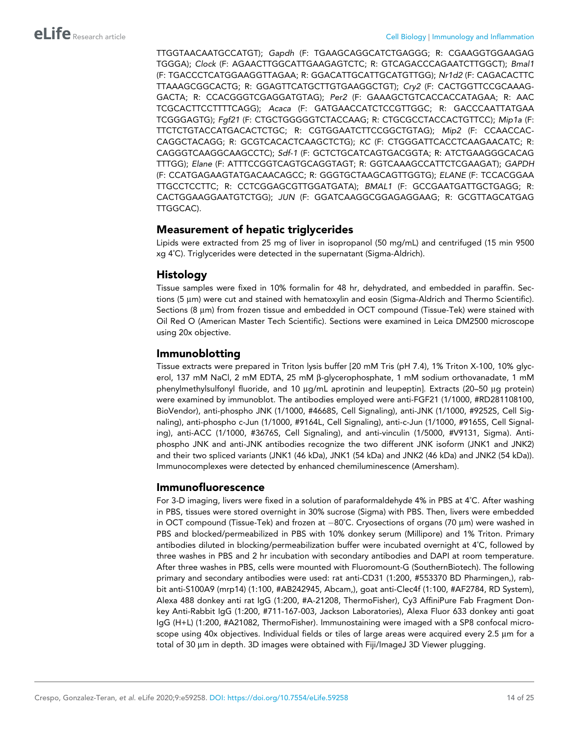TTGGTAACAATGCCATGT); *Gapdh* (F: TGAAGCAGGCATCTGAGGG; R: CGAAGGTGGAAGAG TGGGA); *Clock* (F: AGAACTTGGCATTGAAGAGTCTC; R: GTCAGACCCAGAATCTTGGCT); *Bmal1* (F: TGACCCTCATGGAAGGTTAGAA; R: GGACATTGCATTGCATGTTGG); *Nr1d2* (F: CAGACACTTC TTAAAGCGGCACTG; R: GGAGTTCATGCTTGTGAAGGCTGT); *Cry2* (F: CACTGGTTCCGCAAAG-GACTA; R: CCACGGGTCGAGGATGTAG); *Per2* (F: GAAAGCTGTCACCACCATAGAA; R: AAC TCGCACTTCCTTTTCAGG); *Acaca* (F: GATGAACCATCTCCGTTGGC; R: GACCCAATTATGAA TCGGGAGTG); *Fgf21* (F: CTGCTGGGGGTCTACCAAG; R: CTGCGCCTACCACTGTTCC); *Mip1a* (F: TTCTCTGTACCATGACACTCTGC; R: CGTGGAATCTTCCGGCTGTAG); *Mip2* (F: CCAACCAC-CAGGCTACAGG; R: GCGTCACACTCAAGCTCTG); *KC* (F: CTGGGATTCACCTCAAGAACATC; R: CAGGGTCAAGGCAAGCCTC); *Sdf-1* (F: GCTCTGCATCAGTGACGGTA; R: ATCTGAAGGGCACAG TTTGG); *Elane* (F: ATTTCCGGTCAGTGCAGGTAGT; R: GGTCAAAGCCATTCTCGAAGAT); *GAPDH* (F: CCATGAGAAGTATGACAACAGCC; R: GGGTGCTAAGCAGTTGGTG); *ELANE* (F: TCCACGGAA TTGCCTCCTTC; R: CCTCGGAGCGTTGGATGATA); *BMAL1* (F: GCCGAATGATTGCTGAGG; R: CACTGGAAGGAATGTCTGG); *JUN* (F: GGATCAAGGCGGAGAGGAAG; R: GCGTTAGCATGAG TTGGCAC).

### Measurement of hepatic triglycerides

Lipids were extracted from 25 mg of liver in isopropanol (50 mg/mL) and centrifuged (15 min 9500 xg 4˚C). Triglycerides were detected in the supernatant (Sigma-Aldrich).

### Histology

Tissue samples were fixed in 10% formalin for 48 hr, dehydrated, and embedded in paraffin. Sections (5 µm) were cut and stained with hematoxylin and eosin (Sigma-Aldrich and Thermo Scientific). Sections (8 µm) from frozen tissue and embedded in OCT compound (Tissue-Tek) were stained with Oil Red O (American Master Tech Scientific). Sections were examined in Leica DM2500 microscope using 20x objective.

### Immunoblotting

Tissue extracts were prepared in Triton lysis buffer [20 mM Tris (pH 7.4), 1% Triton X-100, 10% glycerol, 137 mM NaCl, 2 mM EDTA, 25 mM β-glycerophosphate, 1 mM sodium orthovanadate, 1 mM phenylmethylsulfonyl fluoride, and 10  $\mu$ g/mL aprotinin and leupeptin]. Extracts (20–50  $\mu$ g protein) were examined by immunoblot. The antibodies employed were anti-FGF21 (1/1000, #RD281108100, BioVendor), anti-phospho JNK (1/1000, #4668S, Cell Signaling), anti-JNK (1/1000, #9252S, Cell Signaling), anti-phospho c-Jun (1/1000, #9164L, Cell Signaling), anti-c-Jun (1/1000, #9165S, Cell Signaling), anti-ACC (1/1000, #3676S, Cell Signaling), and anti-vinculin (1/5000, #V9131, Sigma). Antiphospho JNK and anti-JNK antibodies recognize the two different JNK isoform (JNK1 and JNK2) and their two spliced variants (JNK1 (46 kDa), JNK1 (54 kDa) and JNK2 (46 kDa) and JNK2 (54 kDa)). Immunocomplexes were detected by enhanced chemiluminescence (Amersham).

### Immunofluorescence

For 3-D imaging, livers were fixed in a solution of paraformaldehyde 4% in PBS at 4˚C. After washing in PBS, tissues were stored overnight in 30% sucrose (Sigma) with PBS. Then, livers were embedded in OCT compound (Tissue-Tek) and frozen at  $-80^{\circ}$ C. Cryosections of organs (70  $\mu$ m) were washed in PBS and blocked/permeabilized in PBS with 10% donkey serum (Millipore) and 1% Triton. Primary antibodies diluted in blocking/permeabilization buffer were incubated overnight at 4˚C, followed by three washes in PBS and 2 hr incubation with secondary antibodies and DAPI at room temperature. After three washes in PBS, cells were mounted with Fluoromount-G (SouthernBiotech). The following primary and secondary antibodies were used: rat anti-CD31 (1:200, #553370 BD Pharmingen,), rabbit anti-S100A9 (mrp14) (1:100, #AB242945, Abcam,), goat anti-Clec4f (1:100, #AF2784, RD System), Alexa 488 donkey anti rat IgG (1:200, #A-21208, ThermoFisher), Cy3 AffiniPure Fab Fragment Donkey Anti-Rabbit IgG (1:200, #711-167-003, Jackson Laboratories), Alexa Fluor 633 donkey anti goat IgG (H+L) (1:200, #A21082, ThermoFisher). Immunostaining were imaged with a SP8 confocal microscope using 40x objectives. Individual fields or tiles of large areas were acquired every 2.5 µm for a total of 30 µm in depth. 3D images were obtained with Fiji/ImageJ 3D Viewer plugging.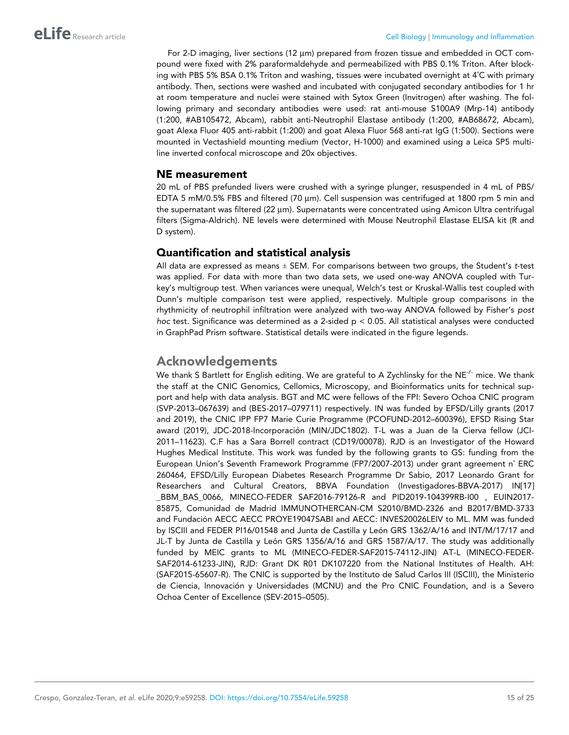For 2-D imaging, liver sections (12  $\mu$ m) prepared from frozen tissue and embedded in OCT compound were fixed with 2% paraformaldehyde and permeabilized with PBS 0.1% Triton. After blocking with PBS 5% BSA 0.1% Triton and washing, tissues were incubated overnight at 4˚C with primary antibody. Then, sections were washed and incubated with conjugated secondary antibodies for 1 hr at room temperature and nuclei were stained with Sytox Green (Invitrogen) after washing. The following primary and secondary antibodies were used: rat anti-mouse S100A9 (Mrp-14) antibody (1:200, #AB105472, Abcam), rabbit anti-Neutrophil Elastase antibody (1:200, #AB68672, Abcam), goat Alexa Fluor 405 anti-rabbit (1:200) and goat Alexa Fluor 568 anti-rat IgG (1:500). Sections were mounted in Vectashield mounting medium (Vector, H-1000) and examined using a Leica SP5 multiline inverted confocal microscope and 20x objectives.

### NE measurement

20 mL of PBS prefunded livers were crushed with a syringe plunger, resuspended in 4 mL of PBS/ EDTA 5 mM/0.5% FBS and filtered (70  $\mu$ m). Cell suspension was centrifuged at 1800 rpm 5 min and the supernatant was filtered (22 µm). Supernatants were concentrated using Amicon Ultra centrifugal filters (Sigma-Aldrich). NE levels were determined with Mouse Neutrophil Elastase ELISA kit (R and D system).

### Quantification and statistical analysis

All data are expressed as means ± SEM. For comparisons between two groups, the Student's *t*-test was applied. For data with more than two data sets, we used one-way ANOVA coupled with Turkey's multigroup test. When variances were unequal, Welch's test or Kruskal-Wallis test coupled with Dunn's multiple comparison test were applied, respectively. Multiple group comparisons in the rhythmicity of neutrophil infiltration were analyzed with two-way ANOVA followed by Fisher's *post hoc* test. Significance was determined as a 2-sided p < 0.05. All statistical analyses were conducted in GraphPad Prism software. Statistical details were indicated in the figure legends.

## Acknowledgements

We thank S Bartlett for English editing. We are grateful to A Zychlinsky for the NE $\cdot$ - mice. We thank the staff at the CNIC Genomics, Cellomics, Microscopy, and Bioinformatics units for technical support and help with data analysis. BGT and MC were fellows of the FPI: Severo Ochoa CNIC program (SVP-2013–067639) and (BES-2017–079711) respectively. IN was funded by EFSD/Lilly grants (2017 and 2019), the CNIC IPP FP7 Marie Curie Programme (PCOFUND-2012–600396), EFSD Rising Star award (2019), JDC-2018-Incorporación (MIN/JDC1802). T-L was a Juan de la Cierva fellow (JCI-2011–11623). C.F has a Sara Borrell contract (CD19/00078). RJD is an Investigator of the Howard Hughes Medical Institute. This work was funded by the following grants to GS: funding from the European Union's Seventh Framework Programme (FP7/2007-2013) under grant agreement n˚ ERC 260464, EFSD/Lilly European Diabetes Research Programme Dr Sabio, 2017 Leonardo Grant for Researchers and Cultural Creators, BBVA Foundation (Investigadores-BBVA-2017) IN[17] \_BBM\_BAS\_0066, MINECO-FEDER SAF2016-79126-R and PID2019-104399RB-I00 , EUIN2017- 85875, Comunidad de Madrid IMMUNOTHERCAN-CM S2010/BMD-2326 and B2017/BMD-3733 and Fundación AECC AECC PROYE19047SABI and AECC: INVES20026LEIV to ML. MM was funded by ISCIII and FEDER PI16/01548 and Junta de Castilla y León GRS 1362/A/16 and INT/M/17/17 and JL-T by Junta de Castilla y León GRS 1356/A/16 and GRS 1587/A/17. The study was additionally funded by MEIC grants to ML (MINECO-FEDER-SAF2015-74112-JIN) AT-L (MINECO-FEDER-SAF2014-61233-JIN), RJD: Grant DK R01 DK107220 from the National Institutes of Health. AH: (SAF2015-65607-R). The CNIC is supported by the Instituto de Salud Carlos III (ISCIII), the Ministerio de Ciencia, Innovación y Universidades (MCNU) and the Pro CNIC Foundation, and is a Severo Ochoa Center of Excellence (SEV-2015–0505).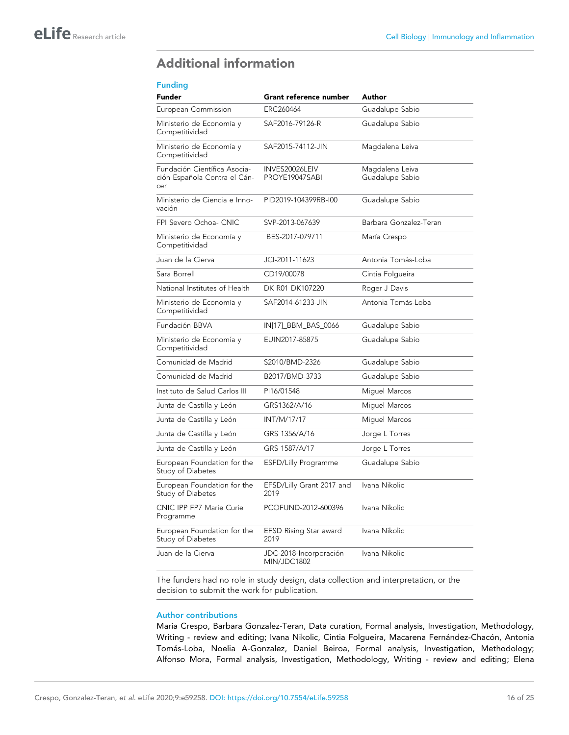# <span id="page-15-0"></span>Additional information

#### Funding

| <b>Funder</b>                                                       | Grant reference number                | Author                             |
|---------------------------------------------------------------------|---------------------------------------|------------------------------------|
| European Commission                                                 | ERC260464                             | Guadalupe Sabio                    |
| Ministerio de Economía y<br>Competitividad                          | SAF2016-79126-R                       | Guadalupe Sabio                    |
| Ministerio de Economía y<br>Competitividad                          | SAF2015-74112-JIN                     | Magdalena Leiva                    |
| Fundación Científica Asocia-<br>ción Española Contra el Cán-<br>cer | INVES20026LEIV<br>PROYE19047SABI      | Magdalena Leiva<br>Guadalupe Sabio |
| Ministerio de Ciencia e Inno-<br>vación                             | PID2019-104399RB-I00                  | Guadalupe Sabio                    |
| FPI Severo Ochoa- CNIC                                              | SVP-2013-067639                       | Barbara Gonzalez-Teran             |
| Ministerio de Economía y<br>Competitividad                          | BES-2017-079711                       | María Crespo                       |
| Juan de la Cierva                                                   | JCI-2011-11623                        | Antonia Tomás-Loba                 |
| Sara Borrell                                                        | CD19/00078                            | Cintia Folgueira                   |
| National Institutes of Health                                       | DK R01 DK107220                       | Roger J Davis                      |
| Ministerio de Economía y<br>Competitividad                          | SAF2014-61233-JIN                     | Antonia Tomás-Loba                 |
| Fundación BBVA                                                      | IN[17]_BBM_BAS_0066                   | Guadalupe Sabio                    |
| Ministerio de Economía y<br>Competitividad                          | EUIN2017-85875                        | Guadalupe Sabio                    |
| Comunidad de Madrid                                                 | S2010/BMD-2326                        | Guadalupe Sabio                    |
| Comunidad de Madrid                                                 | B2017/BMD-3733                        | Guadalupe Sabio                    |
| Instituto de Salud Carlos III                                       | PI16/01548                            | Miquel Marcos                      |
| Junta de Castilla y León                                            | GRS1362/A/16                          | Miquel Marcos                      |
| Junta de Castilla y León                                            | INT/M/17/17                           | Miquel Marcos                      |
| Junta de Castilla y León                                            | GRS 1356/A/16                         | Jorge L Torres                     |
| Junta de Castilla y León                                            | GRS 1587/A/17                         | Jorge L Torres                     |
| European Foundation for the<br>Study of Diabetes                    | <b>ESFD/Lilly Programme</b>           | Guadalupe Sabio                    |
| European Foundation for the<br>Study of Diabetes                    | EFSD/Lilly Grant 2017 and<br>2019     | Ivana Nikolic                      |
| CNIC IPP FP7 Marie Curie<br>Programme                               | PCOFUND-2012-600396                   | Ivana Nikolic                      |
| European Foundation for the<br>Study of Diabetes                    | EFSD Rising Star award<br>2019        | Ivana Nikolic                      |
| Juan de la Cierva                                                   | JDC-2018-Incorporación<br>MIN/JDC1802 | Ivana Nikolic                      |

The funders had no role in study design, data collection and interpretation, or the decision to submit the work for publication.

#### Author contributions

María Crespo, Barbara Gonzalez-Teran, Data curation, Formal analysis, Investigation, Methodology, Writing - review and editing; Ivana Nikolic, Cintia Folgueira, Macarena Fernández-Chacón, Antonia Tomás-Loba, Noelia A-Gonzalez, Daniel Beiroa, Formal analysis, Investigation, Methodology; Alfonso Mora, Formal analysis, Investigation, Methodology, Writing - review and editing; Elena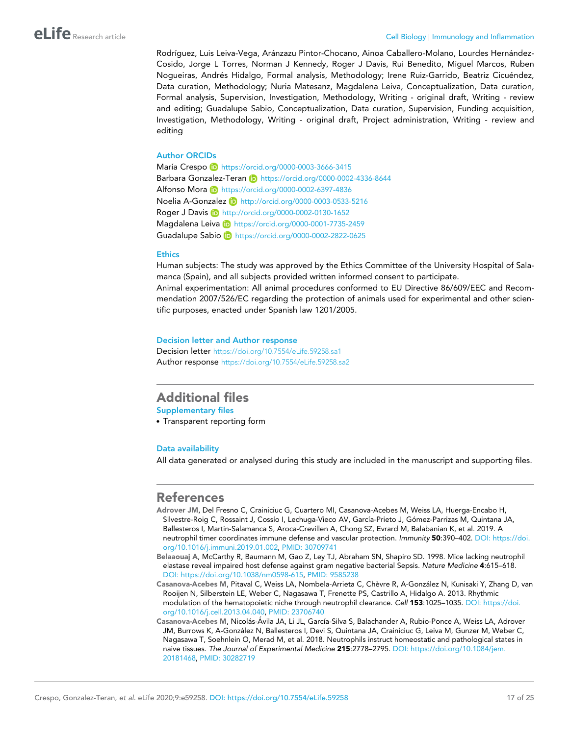<span id="page-16-0"></span>Rodríguez, Luis Leiva-Vega, Aránzazu Pintor-Chocano, Ainoa Caballero-Molano, Lourdes Hernández-Cosido, Jorge L Torres, Norman J Kennedy, Roger J Davis, Rui Benedito, Miguel Marcos, Ruben Nogueiras, Andrés Hidalgo, Formal analysis, Methodology; Irene Ruiz-Garrido, Beatriz Cicuéndez, Data curation, Methodology; Nuria Matesanz, Magdalena Leiva, Conceptualization, Data curation, Formal analysis, Supervision, Investigation, Methodology, Writing - original draft, Writing - review and editing; Guadalupe Sabio, Conceptualization, Data curation, Supervision, Funding acquisition, Investigation, Methodology, Writing - original draft, Project administration, Writing - review and editing

#### Author ORCIDs

María Crespo **iD** <https://orcid.org/0000-0003-3666-3415> Barbara Gonzalez-Teran (D <https://orcid.org/0000-0002-4336-8644> Alfonso Mora **b** <https://orcid.org/0000-0002-6397-4836> Noelia A-Gonzalez **b** <http://orcid.org/0000-0003-0533-5216> Roger J Davis (D <http://orcid.org/0000-0002-0130-1652> Magdalena Leiva (D <https://orcid.org/0000-0001-7735-2459> Guadalupe Sabio <https://orcid.org/0000-0002-2822-0625>

#### **Ethics**

Human subjects: The study was approved by the Ethics Committee of the University Hospital of Salamanca (Spain), and all subjects provided written informed consent to participate.

Animal experimentation: All animal procedures conformed to EU Directive 86/609/EEC and Recommendation 2007/526/EC regarding the protection of animals used for experimental and other scientific purposes, enacted under Spanish law 1201/2005.

#### Decision letter and Author response

Decision letter <https://doi.org/10.7554/eLife.59258.sa1> Author response <https://doi.org/10.7554/eLife.59258.sa2>

### Additional files

Supplementary files

. Transparent reporting form

#### Data availability

All data generated or analysed during this study are included in the manuscript and supporting files.

### References

- Adrover JM, Del Fresno C, Crainiciuc G, Cuartero MI, Casanova-Acebes M, Weiss LA, Huerga-Encabo H, Silvestre-Roig C, Rossaint J, Cossío I, Lechuga-Vieco AV, García-Prieto J, Gómez-Parrizas M, Quintana JA, Ballesteros I, Martin-Salamanca S, Aroca-Crevillen A, Chong SZ, Evrard M, Balabanian K, et al. 2019. A neutrophil timer coordinates immune defense and vascular protection. *Immunity* 50:390–402. DOI: [https://doi.](https://doi.org/10.1016/j.immuni.2019.01.002) [org/10.1016/j.immuni.2019.01.002,](https://doi.org/10.1016/j.immuni.2019.01.002) PMID: [30709741](http://www.ncbi.nlm.nih.gov/pubmed/30709741)
- Belaaouaj A, McCarthy R, Baumann M, Gao Z, Ley TJ, Abraham SN, Shapiro SD. 1998. Mice lacking neutrophil elastase reveal impaired host defense against gram negative bacterial Sepsis. *Nature Medicine* 4:615–618. DOI:<https://doi.org/10.1038/nm0598-615>, PMID: [9585238](http://www.ncbi.nlm.nih.gov/pubmed/9585238)
- Casanova-Acebes M, Pitaval C, Weiss LA, Nombela-Arrieta C, Chèvre R, A-González N, Kunisaki Y, Zhang D, van Rooijen N, Silberstein LE, Weber C, Nagasawa T, Frenette PS, Castrillo A, Hidalgo A. 2013. Rhythmic modulation of the hematopoietic niche through neutrophil clearance. *Cell* 153:1025–1035. DOI: [https://doi.](https://doi.org/10.1016/j.cell.2013.04.040) [org/10.1016/j.cell.2013.04.040,](https://doi.org/10.1016/j.cell.2013.04.040) PMID: [23706740](http://www.ncbi.nlm.nih.gov/pubmed/23706740)
- Casanova-Acebes M, Nicolás-Ávila JA, Li JL, García-Silva S, Balachander A, Rubio-Ponce A, Weiss LA, Adrover JM, Burrows K, A-González N, Ballesteros I, Devi S, Quintana JA, Crainiciuc G, Leiva M, Gunzer M, Weber C, Nagasawa T, Soehnlein O, Merad M, et al. 2018. Neutrophils instruct homeostatic and pathological states in naive tissues. *The Journal of Experimental Medicine* 215:2778–2795. DOI: [https://doi.org/10.1084/jem.](https://doi.org/10.1084/jem.20181468) [20181468,](https://doi.org/10.1084/jem.20181468) PMID: [30282719](http://www.ncbi.nlm.nih.gov/pubmed/30282719)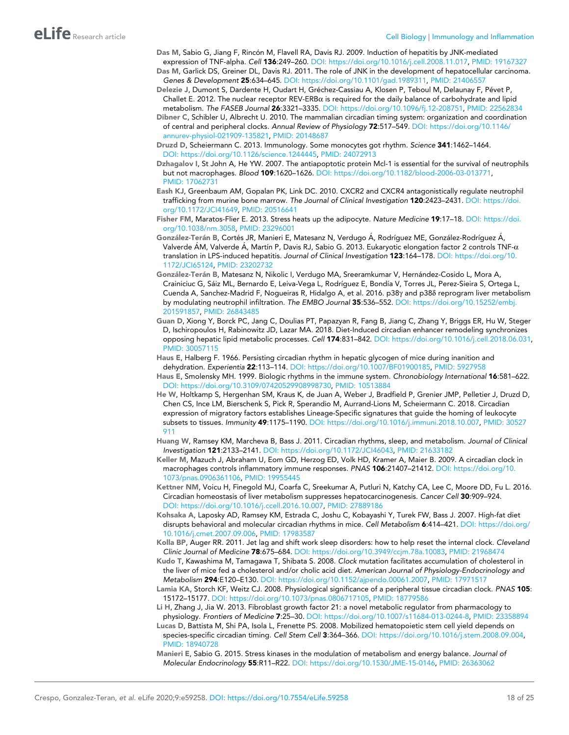- <span id="page-17-0"></span>Das M, Sabio G, Jiang F, Rincón M, Flavell RA, Davis RJ. 2009. Induction of hepatitis by JNK-mediated expression of TNF-alpha. *Cell* 136:249–260. DOI:<https://doi.org/10.1016/j.cell.2008.11.017>, PMID: [19167327](http://www.ncbi.nlm.nih.gov/pubmed/19167327)
- Das M, Garlick DS, Greiner DL, Davis RJ. 2011. The role of JNK in the development of hepatocellular carcinoma. *Genes & Development* 25:634–645. DOI: [https://doi.org/10.1101/gad.1989311,](https://doi.org/10.1101/gad.1989311) PMID: [21406557](http://www.ncbi.nlm.nih.gov/pubmed/21406557)
- Delezie J, Dumont S, Dardente H, Oudart H, Gréchez-Cassiau A, Klosen P, Teboul M, Delaunay F, Pévet P, Challet E. 2012. The nuclear receptor REV-ERB $\alpha$  is required for the daily balance of carbohydrate and lipid metabolism. *The FASEB Journal* 26:3321–3335. DOI:<https://doi.org/10.1096/fj.12-208751>, PMID: [22562834](http://www.ncbi.nlm.nih.gov/pubmed/22562834)
- Dibner C, Schibler U, Albrecht U. 2010. The mammalian circadian timing system: organization and coordination of central and peripheral clocks. *Annual Review of Physiology* 72:517–549. DOI: [https://doi.org/10.1146/](https://doi.org/10.1146/annurev-physiol-021909-135821) [annurev-physiol-021909-135821](https://doi.org/10.1146/annurev-physiol-021909-135821), PMID: [20148687](http://www.ncbi.nlm.nih.gov/pubmed/20148687)
- Druzd D, Scheiermann C. 2013. Immunology. Some monocytes got rhythm. *Science* 341:1462–1464. DOI: [https://doi.org/10.1126/science.1244445,](https://doi.org/10.1126/science.1244445) PMID: [24072913](http://www.ncbi.nlm.nih.gov/pubmed/24072913)
- Dzhagalov I, St John A, He YW. 2007. The antiapoptotic protein Mcl-1 is essential for the survival of neutrophils but not macrophages. *Blood* 109:1620–1626. DOI: [https://doi.org/10.1182/blood-2006-03-013771,](https://doi.org/10.1182/blood-2006-03-013771) PMID: [17062731](http://www.ncbi.nlm.nih.gov/pubmed/17062731)
- Eash KJ, Greenbaum AM, Gopalan PK, Link DC. 2010. CXCR2 and CXCR4 antagonistically regulate neutrophil trafficking from murine bone marrow. *The Journal of Clinical Investigation* 120:2423–2431. DOI: [https://doi.](https://doi.org/10.1172/JCI41649) [org/10.1172/JCI41649,](https://doi.org/10.1172/JCI41649) PMID: [20516641](http://www.ncbi.nlm.nih.gov/pubmed/20516641)
- Fisher FM, Maratos-Flier E. 2013. Stress heats up the adipocyte. *Nature Medicine* 19:17–18. DOI: [https://doi.](https://doi.org/10.1038/nm.3058) [org/10.1038/nm.3058](https://doi.org/10.1038/nm.3058), PMID: [23296001](http://www.ncbi.nlm.nih.gov/pubmed/23296001)
- González-Terán B, Cortés JR, Manieri E, Matesanz N, Verdugo Á, Rodríguez ME, González-Rodríguez Á, Valverde ÁM, Valverde Á, Martín P, Davis RJ, Sabio G. 2013. Eukaryotic elongation factor 2 controls TNF- $\alpha$ translation in LPS-induced hepatitis. *Journal of Clinical Investigation* 123:164–178. DOI: [https://doi.org/10.](https://doi.org/10.1172/JCI65124) [1172/JCI65124](https://doi.org/10.1172/JCI65124), PMID: [23202732](http://www.ncbi.nlm.nih.gov/pubmed/23202732)
- González-Terán B, Matesanz N, Nikolic I, Verdugo MA, Sreeramkumar V, Hernández-Cosido L, Mora A, Crainiciuc G, Sáiz ML, Bernardo E, Leiva-Vega L, Rodríguez E, Bondía V, Torres JL, Perez-Sieira S, Ortega L, Cuenda A, Sanchez-Madrid F, Nogueiras R, Hidalgo A, et al. 2016. p38g and p38d reprogram liver metabolism by modulating neutrophil infiltration. *The EMBO Journal* 35:536–552. DOI: [https://doi.org/10.15252/embj.](https://doi.org/10.15252/embj.201591857) [201591857,](https://doi.org/10.15252/embj.201591857) PMID: [26843485](http://www.ncbi.nlm.nih.gov/pubmed/26843485)
- Guan D, Xiong Y, Borck PC, Jang C, Doulias PT, Papazyan R, Fang B, Jiang C, Zhang Y, Briggs ER, Hu W, Steger D, Ischiropoulos H, Rabinowitz JD, Lazar MA. 2018. Diet-Induced circadian enhancer remodeling synchronizes opposing hepatic lipid metabolic processes. *Cell* 174:831–842. DOI:<https://doi.org/10.1016/j.cell.2018.06.031>, PMID: [30057115](http://www.ncbi.nlm.nih.gov/pubmed/30057115)
- Haus E, Halberg F. 1966. Persisting circadian rhythm in hepatic glycogen of mice during inanition and dehydration. *Experientia* 22:113–114. DOI:<https://doi.org/10.1007/BF01900185>, PMID: [5927958](http://www.ncbi.nlm.nih.gov/pubmed/5927958)
- Haus E, Smolensky MH. 1999. Biologic rhythms in the immune system. *Chronobiology International* 16:581–622. DOI:<https://doi.org/10.3109/07420529908998730>, PMID: [10513884](http://www.ncbi.nlm.nih.gov/pubmed/10513884)
- He W, Holtkamp S, Hergenhan SM, Kraus K, de Juan A, Weber J, Bradfield P, Grenier JMP, Pelletier J, Druzd D, Chen CS, Ince LM, Bierschenk S, Pick R, Sperandio M, Aurrand-Lions M, Scheiermann C. 2018. Circadian expression of migratory factors establishes Lineage-Specific signatures that guide the homing of leukocyte subsets to tissues. *Immunity* 49:1175–1190. DOI: [https://doi.org/10.1016/j.immuni.2018.10.007,](https://doi.org/10.1016/j.immuni.2018.10.007) PMID: [30527](http://www.ncbi.nlm.nih.gov/pubmed/30527911) [911](http://www.ncbi.nlm.nih.gov/pubmed/30527911)
- Huang W, Ramsey KM, Marcheva B, Bass J. 2011. Circadian rhythms, sleep, and metabolism. *Journal of Clinical Investigation* 121:2133–2141. DOI:<https://doi.org/10.1172/JCI46043>, PMID: [21633182](http://www.ncbi.nlm.nih.gov/pubmed/21633182)
- Keller M, Mazuch J, Abraham U, Eom GD, Herzog ED, Volk HD, Kramer A, Maier B. 2009. A circadian clock in macrophages controls inflammatory immune responses. *PNAS* 106:21407–21412. DOI: [https://doi.org/10.](https://doi.org/10.1073/pnas.0906361106) [1073/pnas.0906361106,](https://doi.org/10.1073/pnas.0906361106) PMID: [19955445](http://www.ncbi.nlm.nih.gov/pubmed/19955445)
- Kettner NM, Voicu H, Finegold MJ, Coarfa C, Sreekumar A, Putluri N, Katchy CA, Lee C, Moore DD, Fu L. 2016. Circadian homeostasis of liver metabolism suppresses hepatocarcinogenesis. *Cancer Cell* 30:909–924. DOI: [https://doi.org/10.1016/j.ccell.2016.10.007,](https://doi.org/10.1016/j.ccell.2016.10.007) PMID: [27889186](http://www.ncbi.nlm.nih.gov/pubmed/27889186)
- Kohsaka A, Laposky AD, Ramsey KM, Estrada C, Joshu C, Kobayashi Y, Turek FW, Bass J. 2007. High-fat diet disrupts behavioral and molecular circadian rhythms in mice. *Cell Metabolism* 6:414–421. DOI: [https://doi.org/](https://doi.org/10.1016/j.cmet.2007.09.006) [10.1016/j.cmet.2007.09.006](https://doi.org/10.1016/j.cmet.2007.09.006), PMID: [17983587](http://www.ncbi.nlm.nih.gov/pubmed/17983587)
- Kolla BP, Auger RR. 2011. Jet lag and shift work sleep disorders: how to help reset the internal clock. *Cleveland Clinic Journal of Medicine* 78:675–684. DOI: [https://doi.org/10.3949/ccjm.78a.10083,](https://doi.org/10.3949/ccjm.78a.10083) PMID: [21968474](http://www.ncbi.nlm.nih.gov/pubmed/21968474)
- Kudo T, Kawashima M, Tamagawa T, Shibata S. 2008. *Clock* mutation facilitates accumulation of cholesterol in the liver of mice fed a cholesterol and/or cholic acid diet. *American Journal of Physiology-Endocrinology and Metabolism* 294:E120–E130. DOI:<https://doi.org/10.1152/ajpendo.00061.2007>, PMID: [17971517](http://www.ncbi.nlm.nih.gov/pubmed/17971517)
- Lamia KA, Storch KF, Weitz CJ. 2008. Physiological significance of a peripheral tissue circadian clock. *PNAS* 105: 15172–15177. DOI:<https://doi.org/10.1073/pnas.0806717105>, PMID: [18779586](http://www.ncbi.nlm.nih.gov/pubmed/18779586)
- Li H, Zhang J, Jia W. 2013. Fibroblast growth factor 21: a novel metabolic regulator from pharmacology to physiology. *Frontiers of Medicine* 7:25–30. DOI: [https://doi.org/10.1007/s11684-013-0244-8,](https://doi.org/10.1007/s11684-013-0244-8) PMID: [23358894](http://www.ncbi.nlm.nih.gov/pubmed/23358894)
- Lucas D, Battista M, Shi PA, Isola L, Frenette PS. 2008. Mobilized hematopoietic stem cell yield depends on species-specific circadian timing. *Cell Stem Cell* 3:364–366. DOI:<https://doi.org/10.1016/j.stem.2008.09.004>, PMID: [18940728](http://www.ncbi.nlm.nih.gov/pubmed/18940728)
- Manieri E, Sabio G. 2015. Stress kinases in the modulation of metabolism and energy balance. *Journal of Molecular Endocrinology* 55:R11–R22. DOI:<https://doi.org/10.1530/JME-15-0146>, PMID: [26363062](http://www.ncbi.nlm.nih.gov/pubmed/26363062)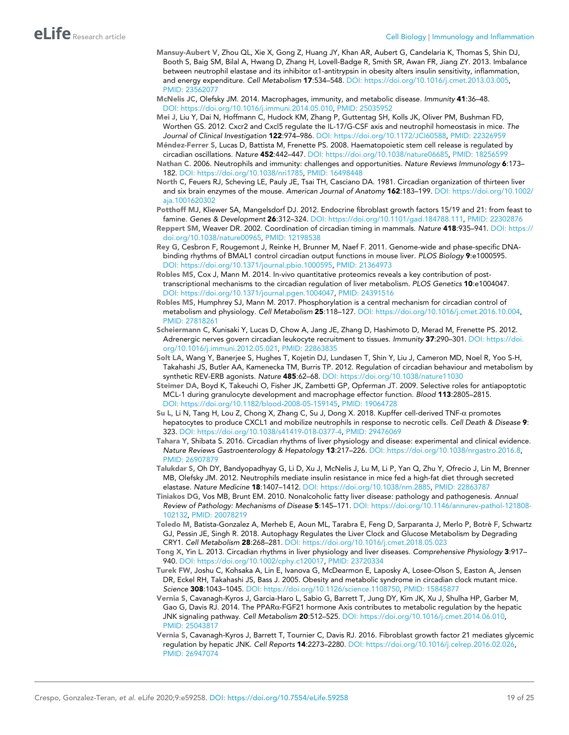- <span id="page-18-0"></span>Mansuy-Aubert V, Zhou QL, Xie X, Gong Z, Huang JY, Khan AR, Aubert G, Candelaria K, Thomas S, Shin DJ, Booth S, Baig SM, Bilal A, Hwang D, Zhang H, Lovell-Badge R, Smith SR, Awan FR, Jiang ZY. 2013. Imbalance between neutrophil elastase and its inhibitor  $\alpha$ 1-antitrypsin in obesity alters insulin sensitivity, inflammation, and energy expenditure. *Cell Metabolism* 17:534–548. DOI:<https://doi.org/10.1016/j.cmet.2013.03.005>, PMID: [23562077](http://www.ncbi.nlm.nih.gov/pubmed/23562077)
- McNelis JC, Olefsky JM. 2014. Macrophages, immunity, and metabolic disease. *Immunity* 41:36–48. DOI:<https://doi.org/10.1016/j.immuni.2014.05.010>, PMID: [25035952](http://www.ncbi.nlm.nih.gov/pubmed/25035952)
- Mei J, Liu Y, Dai N, Hoffmann C, Hudock KM, Zhang P, Guttentag SH, Kolls JK, Oliver PM, Bushman FD, Worthen GS. 2012. Cxcr2 and Cxcl5 regulate the IL-17/G-CSF axis and neutrophil homeostasis in mice. *The Journal of Clinical Investigation* 122:974–986. DOI:<https://doi.org/10.1172/JCI60588>, PMID: [22326959](http://www.ncbi.nlm.nih.gov/pubmed/22326959)
- Méndez-Ferrer S, Lucas D, Battista M, Frenette PS. 2008. Haematopoietic stem cell release is regulated by circadian oscillations. *Nature* 452:442–447. DOI: [https://doi.org/10.1038/nature06685,](https://doi.org/10.1038/nature06685) PMID: [18256599](http://www.ncbi.nlm.nih.gov/pubmed/18256599)
- Nathan C. 2006. Neutrophils and immunity: challenges and opportunities. *Nature Reviews Immunology* 6:173– 182. DOI:<https://doi.org/10.1038/nri1785>, PMID: [16498448](http://www.ncbi.nlm.nih.gov/pubmed/16498448)
- North C, Feuers RJ, Scheving LE, Pauly JE, Tsai TH, Casciano DA. 1981. Circadian organization of thirteen liver and six brain enzymes of the mouse. *American Journal of Anatomy* 162:183–199. DOI: [https://doi.org/10.1002/](https://doi.org/10.1002/aja.1001620302) [aja.1001620302](https://doi.org/10.1002/aja.1001620302)

Potthoff MJ, Kliewer SA, Mangelsdorf DJ. 2012. Endocrine fibroblast growth factors 15/19 and 21: from feast to famine. *Genes & Development* 26:312–324. DOI: [https://doi.org/10.1101/gad.184788.111,](https://doi.org/10.1101/gad.184788.111) PMID: [22302876](http://www.ncbi.nlm.nih.gov/pubmed/22302876)

- Reppert SM, Weaver DR. 2002. Coordination of circadian timing in mammals. *Nature* 418:935–941. DOI: [https://](https://doi.org/10.1038/nature00965) [doi.org/10.1038/nature00965](https://doi.org/10.1038/nature00965), PMID: [12198538](http://www.ncbi.nlm.nih.gov/pubmed/12198538)
- Rey G, Cesbron F, Rougemont J, Reinke H, Brunner M, Naef F. 2011. Genome-wide and phase-specific DNAbinding rhythms of BMAL1 control circadian output functions in mouse liver. *PLOS Biology* 9:e1000595. DOI: [https://doi.org/10.1371/journal.pbio.1000595,](https://doi.org/10.1371/journal.pbio.1000595) PMID: [21364973](http://www.ncbi.nlm.nih.gov/pubmed/21364973)
- Robles MS, Cox J, Mann M. 2014. In-vivo quantitative proteomics reveals a key contribution of posttranscriptional mechanisms to the circadian regulation of liver metabolism. *PLOS Genetics* 10:e1004047. DOI: [https://doi.org/10.1371/journal.pgen.1004047,](https://doi.org/10.1371/journal.pgen.1004047) PMID: [24391516](http://www.ncbi.nlm.nih.gov/pubmed/24391516)
- Robles MS, Humphrey SJ, Mann M. 2017. Phosphorylation is a central mechanism for circadian control of metabolism and physiology. *Cell Metabolism* 25:118–127. DOI: [https://doi.org/10.1016/j.cmet.2016.10.004,](https://doi.org/10.1016/j.cmet.2016.10.004) PMID: [27818261](http://www.ncbi.nlm.nih.gov/pubmed/27818261)
- Scheiermann C, Kunisaki Y, Lucas D, Chow A, Jang JE, Zhang D, Hashimoto D, Merad M, Frenette PS. 2012. Adrenergic nerves govern circadian leukocyte recruitment to tissues. *Immunity* 37:290–301. DOI: [https://doi.](https://doi.org/10.1016/j.immuni.2012.05.021) [org/10.1016/j.immuni.2012.05.021,](https://doi.org/10.1016/j.immuni.2012.05.021) PMID: [22863835](http://www.ncbi.nlm.nih.gov/pubmed/22863835)
- Solt LA, Wang Y, Banerjee S, Hughes T, Kojetin DJ, Lundasen T, Shin Y, Liu J, Cameron MD, Noel R, Yoo S-H, Takahashi JS, Butler AA, Kamenecka TM, Burris TP. 2012. Regulation of circadian behaviour and metabolism by synthetic REV-ERB agonists. *Nature* 485:62–68. DOI:<https://doi.org/10.1038/nature11030>
- Steimer DA, Boyd K, Takeuchi O, Fisher JK, Zambetti GP, Opferman JT. 2009. Selective roles for antiapoptotic MCL-1 during granulocyte development and macrophage effector function. *Blood* 113:2805–2815. DOI: [https://doi.org/10.1182/blood-2008-05-159145,](https://doi.org/10.1182/blood-2008-05-159145) PMID: [19064728](http://www.ncbi.nlm.nih.gov/pubmed/19064728)
- Su L, Li N, Tang H, Lou Z, Chong X, Zhang C, Su J, Dong X. 2018. Kupffer cell-derived TNF-α promotes hepatocytes to produce CXCL1 and mobilize neutrophils in response to necrotic cells. *Cell Death & Disease* 9: 323. DOI: [https://doi.org/10.1038/s41419-018-0377-4,](https://doi.org/10.1038/s41419-018-0377-4) PMID: [29476069](http://www.ncbi.nlm.nih.gov/pubmed/29476069)
- Tahara Y, Shibata S. 2016. Circadian rhythms of liver physiology and disease: experimental and clinical evidence. *Nature Reviews Gastroenterology & Hepatology* 13:217–226. DOI:<https://doi.org/10.1038/nrgastro.2016.8>, PMID: [26907879](http://www.ncbi.nlm.nih.gov/pubmed/26907879)
- Talukdar S, Oh DY, Bandyopadhyay G, Li D, Xu J, McNelis J, Lu M, Li P, Yan Q, Zhu Y, Ofrecio J, Lin M, Brenner MB, Olefsky JM. 2012. Neutrophils mediate insulin resistance in mice fed a high-fat diet through secreted elastase. *Nature Medicine* 18:1407–1412. DOI:<https://doi.org/10.1038/nm.2885>, PMID: [22863787](http://www.ncbi.nlm.nih.gov/pubmed/22863787)
- Tiniakos DG, Vos MB, Brunt EM. 2010. Nonalcoholic fatty liver disease: pathology and pathogenesis. *Annual Review of Pathology: Mechanisms of Disease* 5:145–171. DOI: [https://doi.org/10.1146/annurev-pathol-121808-](https://doi.org/10.1146/annurev-pathol-121808-102132) [102132,](https://doi.org/10.1146/annurev-pathol-121808-102132) PMID: [20078219](http://www.ncbi.nlm.nih.gov/pubmed/20078219)
- Toledo M, Batista-Gonzalez A, Merheb E, Aoun ML, Tarabra E, Feng D, Sarparanta J, Merlo P, Botre` F, Schwartz GJ, Pessin JE, Singh R. 2018. Autophagy Regulates the Liver Clock and Glucose Metabolism by Degrading CRY1. *Cell Metabolism* 28:268–281. DOI:<https://doi.org/10.1016/j.cmet.2018.05.023>
- Tong X, Yin L. 2013. Circadian rhythms in liver physiology and liver diseases. *Comprehensive Physiology* 3:917– 940. DOI: [https://doi.org/10.1002/cphy.c120017,](https://doi.org/10.1002/cphy.c120017) PMID: [23720334](http://www.ncbi.nlm.nih.gov/pubmed/23720334)
- Turek FW, Joshu C, Kohsaka A, Lin E, Ivanova G, McDearmon E, Laposky A, Losee-Olson S, Easton A, Jensen DR, Eckel RH, Takahashi JS, Bass J. 2005. Obesity and metabolic syndrome in circadian clock mutant mice. *Science* 308:1043–1045. DOI:<https://doi.org/10.1126/science.1108750>, PMID: [15845877](http://www.ncbi.nlm.nih.gov/pubmed/15845877)
- Vernia S, Cavanagh-Kyros J, Garcia-Haro L, Sabio G, Barrett T, Jung DY, Kim JK, Xu J, Shulha HP, Garber M, Gao G, Davis RJ. 2014. The PPAR $\alpha$ -FGF21 hormone Axis contributes to metabolic regulation by the hepatic JNK signaling pathway. *Cell Metabolism* 20:512–525. DOI:<https://doi.org/10.1016/j.cmet.2014.06.010>, PMID: [25043817](http://www.ncbi.nlm.nih.gov/pubmed/25043817)
- Vernia S, Cavanagh-Kyros J, Barrett T, Tournier C, Davis RJ. 2016. Fibroblast growth factor 21 mediates glycemic regulation by hepatic JNK. *Cell Reports* 14:2273–2280. DOI: [https://doi.org/10.1016/j.celrep.2016.02.026,](https://doi.org/10.1016/j.celrep.2016.02.026) PMID: [26947074](http://www.ncbi.nlm.nih.gov/pubmed/26947074)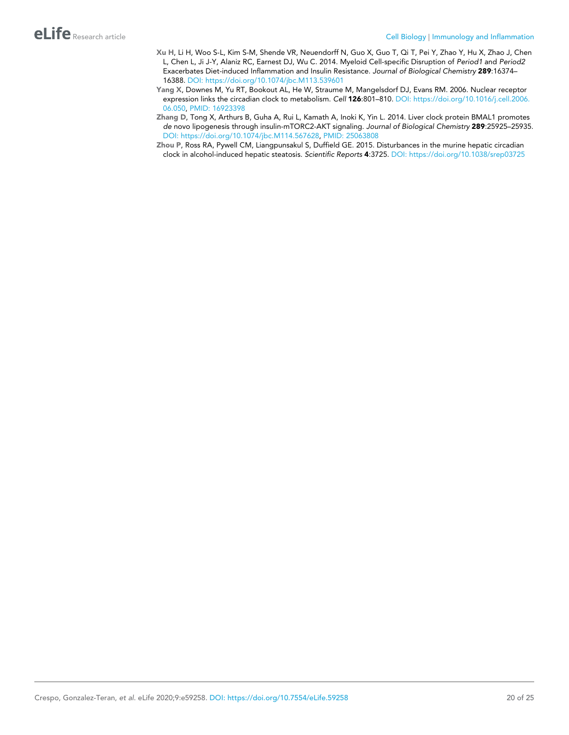- <span id="page-19-0"></span>Xu H, Li H, Woo S-L, Kim S-M, Shende VR, Neuendorff N, Guo X, Guo T, Qi T, Pei Y, Zhao Y, Hu X, Zhao J, Chen L, Chen L, Ji J-Y, Alaniz RC, Earnest DJ, Wu C. 2014. Myeloid Cell-specific Disruption of *Period1* and *Period2* Exacerbates Diet-induced Inflammation and Insulin Resistance. *Journal of Biological Chemistry* 289:16374– 16388. DOI:<https://doi.org/10.1074/jbc.M113.539601>
- Yang X, Downes M, Yu RT, Bookout AL, He W, Straume M, Mangelsdorf DJ, Evans RM. 2006. Nuclear receptor expression links the circadian clock to metabolism. *Cell* 126:801–810. DOI: [https://doi.org/10.1016/j.cell.2006.](https://doi.org/10.1016/j.cell.2006.06.050) [06.050,](https://doi.org/10.1016/j.cell.2006.06.050) PMID: [16923398](http://www.ncbi.nlm.nih.gov/pubmed/16923398)
- Zhang D, Tong X, Arthurs B, Guha A, Rui L, Kamath A, Inoki K, Yin L. 2014. Liver clock protein BMAL1 promotes *de* novo lipogenesis through insulin-mTORC2-AKT signaling. *Journal of Biological Chemistry* 289:25925–25935. DOI: [https://doi.org/10.1074/jbc.M114.567628,](https://doi.org/10.1074/jbc.M114.567628) PMID: [25063808](http://www.ncbi.nlm.nih.gov/pubmed/25063808)
- Zhou P, Ross RA, Pywell CM, Liangpunsakul S, Duffield GE. 2015. Disturbances in the murine hepatic circadian clock in alcohol-induced hepatic steatosis. *Scientific Reports* 4:3725. DOI:<https://doi.org/10.1038/srep03725>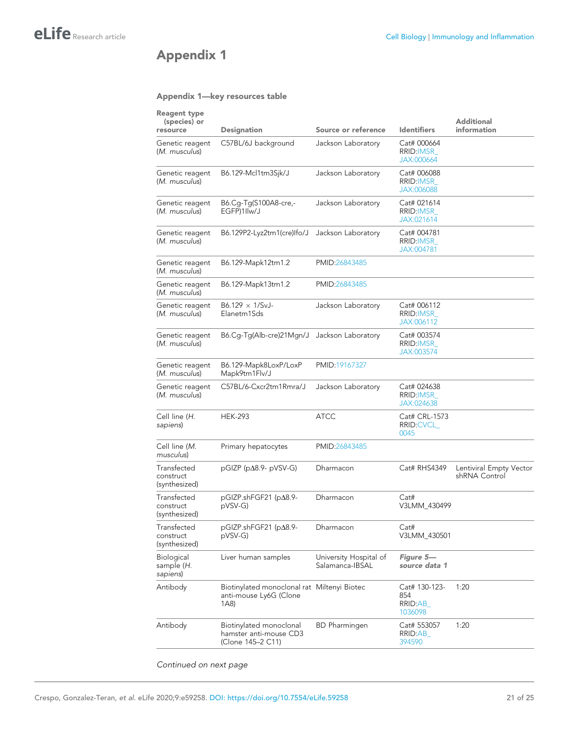# Appendix 1

#### Appendix 1—key resources table

| <b>Reagent type</b><br>(species) or<br>resource | <b>Designation</b>                                                            | Source or reference                       | <b>Identifiers</b>                         | <b>Additional</b><br>information         |
|-------------------------------------------------|-------------------------------------------------------------------------------|-------------------------------------------|--------------------------------------------|------------------------------------------|
| Genetic reagent<br>(M. musculus)                | C57BL/6J background                                                           | Jackson Laboratory                        | Cat# 000664<br>RRID: IMSR<br>JAX:000664    |                                          |
| Genetic reagent<br>(M. musculus)                | B6.129-Mcl1tm3Sjk/J                                                           | Jackson Laboratory                        | Cat# 006088<br>RRID: IMSR<br>JAX:006088    |                                          |
| Genetic reagent<br>(M. musculus)                | B6.Cg-Tg(S100A8-cre,-<br>EGFP)1Ilw/J                                          | Jackson Laboratory                        | Cat# 021614<br>RRID: IMSR<br>JAX:021614    |                                          |
| Genetic reagent<br>(M. musculus)                | B6.129P2-Lyz2tm1(cre)Ifo/J                                                    | Jackson Laboratory                        | Cat# 004781<br>RRID: IMSR<br>JAX:004781    |                                          |
| Genetic reagent<br>(M. musculus)                | B6.129-Mapk12tm1.2                                                            | PMID:26843485                             |                                            |                                          |
| Genetic reagent<br>(M. musculus)                | B6.129-Mapk13tm1.2                                                            | PMID:26843485                             |                                            |                                          |
| Genetic reagent<br>(M. musculus)                | $B6.129 \times 1/SvJ$ -<br>Elanetm1Sds                                        | Jackson Laboratory                        | Cat# 006112<br>RRID: IMSR<br>JAX:006112    |                                          |
| Genetic reagent<br>(M. musculus)                | B6.Cq-Tq(Alb-cre)21Mqn/J                                                      | Jackson Laboratory                        | Cat# 003574<br>RRID: IMSR<br>JAX:003574    |                                          |
| Genetic reagent<br>(M. musculus)                | B6.129-Mapk8LoxP/LoxP<br>Mapk9tm1Flv/J                                        | PMID:19167327                             |                                            |                                          |
| Genetic reagent<br>(M. musculus)                | C57BL/6-Cxcr2tm1Rmra/J                                                        | Jackson Laboratory                        | Cat# 024638<br>RRID: IMSR<br>JAX:024638    |                                          |
| Cell line (H.<br>sapiens)                       | <b>HEK-293</b>                                                                | <b>ATCC</b>                               | Cat# CRL-1573<br>RRID: CVCL<br>0045        |                                          |
| Cell line (M.<br>musculus)                      | Primary hepatocytes                                                           | PMID:26843485                             |                                            |                                          |
| Transfected<br>construct<br>(synthesized)       | $pGIZP$ ( $p\Delta8.9$ - $pVSV-G$ )                                           | Dharmacon                                 | Cat# RHS4349                               | Lentiviral Empty Vector<br>shRNA Control |
| Transfected<br>construct<br>(synthesized)       | pGIZP.shFGF21 (pΔ8.9-<br>pVSV-G)                                              | Dharmacon                                 | Cat#<br>V3LMM 430499                       |                                          |
| Transfected<br>construct<br>(synthesized)       | pGIZP.shFGF21 (pΔ8.9-<br>pVSV-G)                                              | Dharmacon                                 | Cat#<br>V3LMM_430501                       |                                          |
| Biological<br>sample (H.<br>sapiens)            | Liver human samples                                                           | University Hospital of<br>Salamanca-IBSAL | Figure 5-<br>source data 1                 |                                          |
| Antibody                                        | Biotinylated monoclonal rat Miltenyi Biotec<br>anti-mouse Ly6G (Clone<br>1A8) |                                           | Cat# 130-123-<br>854<br>RRID:AB<br>1036098 | 1:20                                     |
| Antibody                                        | Biotinylated monoclonal<br>hamster anti-mouse CD3<br>(Clone 145–2 C11)        | <b>BD</b> Pharmingen                      | Cat# 553057<br>RRID:AB<br>394590           | 1:20                                     |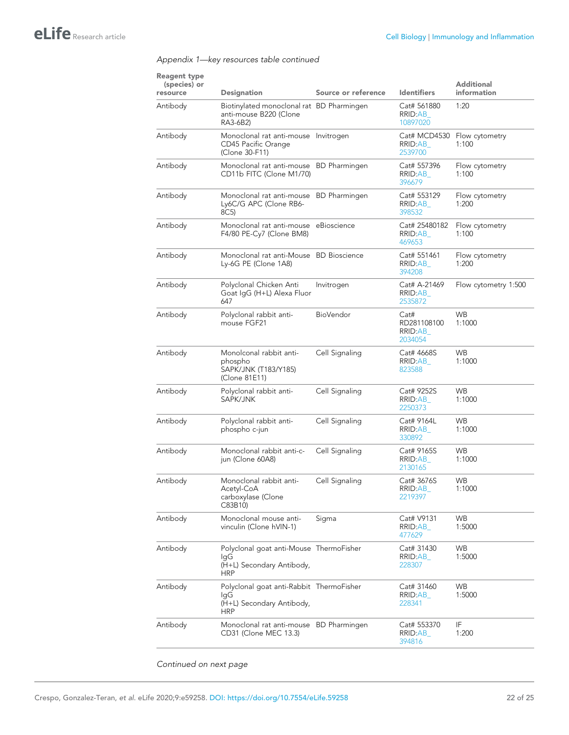| <b>Reagent type</b><br>(species) or<br>resource | <b>Designation</b>                                                                         | Source or reference | <b>Identifiers</b>                        | <b>Additional</b><br>information |
|-------------------------------------------------|--------------------------------------------------------------------------------------------|---------------------|-------------------------------------------|----------------------------------|
| Antibody                                        | Biotinylated monoclonal rat BD Pharmingen<br>anti-mouse B220 (Clone<br>RA3-6B2)            |                     | Cat# 561880<br>RRID:AB<br>10897020        | 1:20                             |
| Antibody                                        | Monoclonal rat anti-mouse Invitrogen<br>CD45 Pacific Orange<br>(Clone 30-F11)              |                     | Cat# MCD4530<br>RRID:AB<br>2539700        | Flow cytometry<br>1:100          |
| Antibody                                        | Monoclonal rat anti-mouse BD Pharmingen<br>CD11b FITC (Clone M1/70)                        |                     | Cat# 557396<br>RRID:AB<br>396679          | Flow cytometry<br>1:100          |
| Antibody                                        | Monoclonal rat anti-mouse BD Pharmingen<br>Ly6C/G APC (Clone RB6-<br>8C <sub>5</sub> )     |                     | Cat# 553129<br>RRID:AB<br>398532          | Flow cytometry<br>1:200          |
| Antibody                                        | Monoclonal rat anti-mouse eBioscience<br>F4/80 PE-Cy7 (Clone BM8)                          |                     | Cat# 25480182<br>RRID:AB<br>469653        | Flow cytometry<br>1:100          |
| Antibody                                        | Monoclonal rat anti-Mouse BD Bioscience<br>Ly-6G PE (Clone 1A8)                            |                     | Cat# 551461<br>RRID:AB<br>394208          | Flow cytometry<br>1:200          |
| Antibody                                        | Polyclonal Chicken Anti<br>Goat IgG (H+L) Alexa Fluor<br>647                               | Invitrogen          | Cat# A-21469<br>RRID:AB<br>2535872        | Flow cytometry 1:500             |
| Antibody                                        | Polyclonal rabbit anti-<br>mouse FGF21                                                     | <b>BioVendor</b>    | Cat#<br>RD281108100<br>RRID:AB<br>2034054 | <b>WB</b><br>1:1000              |
| Antibody                                        | Monolconal rabbit anti-<br>phospho<br>SAPK/JNK (T183/Y185)<br>(Clone 81E11)                | Cell Signaling      | Cat# 4668S<br>RRID:AB<br>823588           | <b>WB</b><br>1:1000              |
| Antibody                                        | Polyclonal rabbit anti-<br>SAPK/JNK                                                        | Cell Signaling      | Cat# 9252S<br>RRID:AB<br>2250373          | <b>WB</b><br>1:1000              |
| Antibody                                        | Polyclonal rabbit anti-<br>phospho c-jun                                                   | Cell Signaling      | Cat# 9164L<br>RRID:AB<br>330892           | <b>WB</b><br>1:1000              |
| Antibody                                        | Monoclonal rabbit anti-c-<br>jun (Clone 60A8)                                              | Cell Signaling      | Cat# 9165S<br>RRID:AB<br>2130165          | <b>WB</b><br>1:1000              |
| Antibody                                        | Monoclonal rabbit anti-<br>Acetyl-CoA<br>carboxylase (Clone<br>C83B10)                     | Cell Signaling      | Cat# 3676S<br>RRID:AB_<br>2219397         | <b>WB</b><br>1:1000              |
| Antibody                                        | Monoclonal mouse anti-<br>vinculin (Clone hVIN-1)                                          | Sigma               | Cat# V9131<br>RRID:AB_<br>477629          | WB<br>1:5000                     |
| Antibody                                        | Polyclonal goat anti-Mouse ThermoFisher<br>lgG.<br>(H+L) Secondary Antibody,<br><b>HRP</b> |                     | Cat# 31430<br>RRID:AB_<br>228307          | WB<br>1:5000                     |
| Antibody                                        | Polyclonal goat anti-Rabbit ThermoFisher<br>laG<br>(H+L) Secondary Antibody,<br><b>HRP</b> |                     | Cat# 31460<br>RRID:AB_<br>228341          | WB<br>1:5000                     |
| Antibody                                        | Monoclonal rat anti-mouse BD Pharmingen<br>CD31 (Clone MEC 13.3)                           |                     | Cat# 553370<br>RRID:AB<br>394816          | IF<br>1:200                      |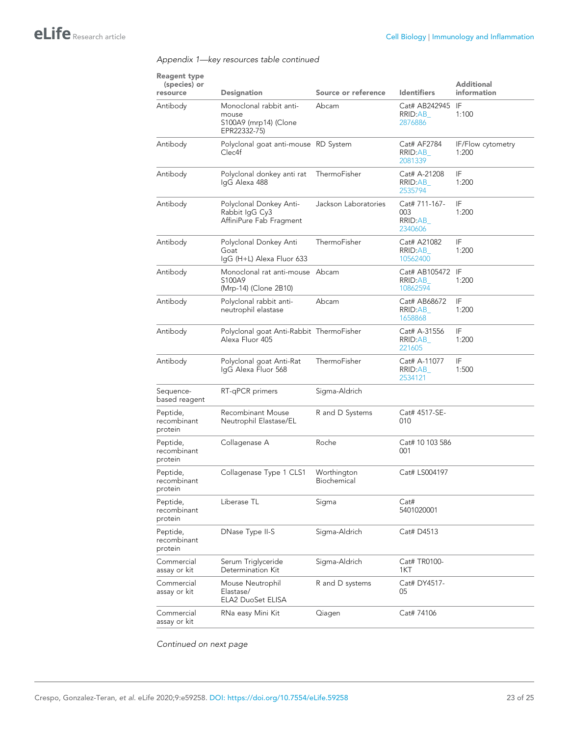| Reagent type<br>(species) or<br>resource | <b>Designation</b>                                                        | Source or reference        | <b>Identifiers</b>                         | <b>Additional</b><br>information |
|------------------------------------------|---------------------------------------------------------------------------|----------------------------|--------------------------------------------|----------------------------------|
| Antibody                                 | Monoclonal rabbit anti-<br>mouse<br>S100A9 (mrp14) (Clone<br>EPR22332-75) | Abcam                      | Cat# AB242945 IF<br>RRID:AB<br>2876886     | 1:100                            |
| Antibody                                 | Polyclonal goat anti-mouse RD System<br>Clec <sub>4f</sub>                |                            | Cat# AF2784<br>RRID:AB<br>2081339          | IF/Flow cytometry<br>1:200       |
| Antibody                                 | Polyclonal donkey anti rat<br>IgG Alexa 488                               | ThermoFisher               | Cat# A-21208<br>RRID:AB<br>2535794         | IF<br>1:200                      |
| Antibody                                 | Polyclonal Donkey Anti-<br>Rabbit IqG Cy3<br>AffiniPure Fab Fragment      | Jackson Laboratories       | Cat# 711-167-<br>003<br>RRID:AB<br>2340606 | IF<br>1:200                      |
| Antibody                                 | Polyclonal Donkey Anti<br>Goat<br>IgG (H+L) Alexa Fluor 633               | ThermoFisher               | Cat# A21082<br>RRID:AB<br>10562400         | IF<br>1:200                      |
| Antibody                                 | Monoclonal rat anti-mouse Abcam<br>S100A9<br>(Mrp-14) (Clone 2B10)        |                            | Cat# AB105472 IF<br>RRID:AB<br>10862594    | 1:200                            |
| Antibody                                 | Polyclonal rabbit anti-<br>neutrophil elastase                            | Abcam                      | Cat# AB68672<br>RRID:AB<br>1658868         | IF<br>1:200                      |
| Antibody                                 | Polyclonal goat Anti-Rabbit ThermoFisher<br>Alexa Fluor 405               |                            | Cat# A-31556<br>RRID:AB<br>221605          | IF<br>1:200                      |
| Antibody                                 | Polyclonal goat Anti-Rat<br>IgG Alexa Fluor 568                           | ThermoFisher               | Cat# A-11077<br>RRID:AB<br>2534121         | IF<br>1:500                      |
| Sequence-<br>based reagent               | RT-qPCR primers                                                           | Sigma-Aldrich              |                                            |                                  |
| Peptide,<br>recombinant<br>protein       | Recombinant Mouse<br>Neutrophil Elastase/EL                               | R and D Systems            | Cat# 4517-SE-<br>010                       |                                  |
| Peptide,<br>recombinant<br>protein       | Collagenase A                                                             | Roche                      | Cat# 10 103 586<br>001                     |                                  |
| Peptide,<br>recombinant<br>protein       | Collagenase Type 1 CLS1                                                   | Worthington<br>Biochemical | Cat# LS004197                              |                                  |
| Peptide,<br>recombinant<br>protein       | Liberase TL                                                               | Sigma                      | Cat#<br>5401020001                         |                                  |
| Peptide,<br>recombinant<br>protein       | DNase Type II-S                                                           | Sigma-Aldrich              | Cat# D4513                                 |                                  |
| Commercial<br>assay or kit               | Serum Triglyceride<br>Determination Kit                                   | Sigma-Aldrich              | Cat# TR0100-<br>1KT                        |                                  |
| Commercial<br>assay or kit               | Mouse Neutrophil<br>Elastase/<br>ELA2 DuoSet ELISA                        | R and D systems            | Cat# DY4517-<br>05                         |                                  |
| Commercial<br>assay or kit               | RNa easy Mini Kit                                                         | Qiagen                     | Cat# 74106                                 |                                  |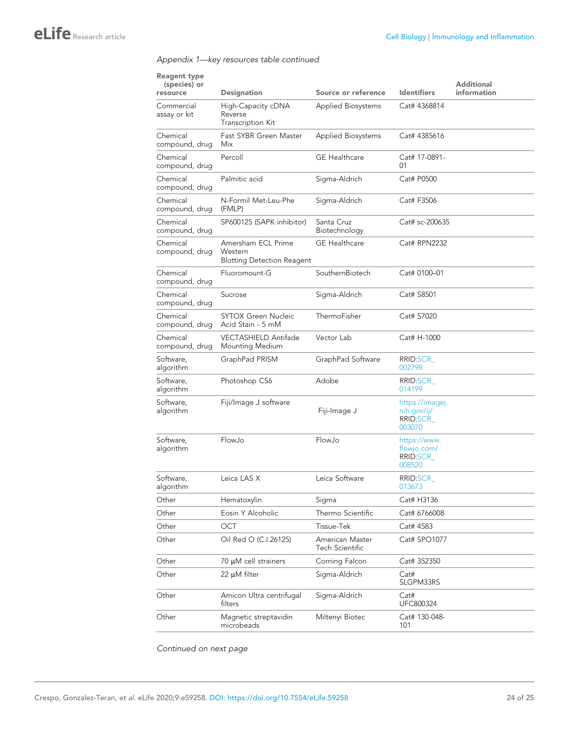| <b>Reagent type</b><br>(species) or<br>resource | <b>Designation</b>                                                 | Source or reference                | <b>Identifiers</b>                                    | Additional<br>information |
|-------------------------------------------------|--------------------------------------------------------------------|------------------------------------|-------------------------------------------------------|---------------------------|
| Commercial<br>assay or kit                      | High-Capacity cDNA<br>Reverse<br>Transcription Kit                 | <b>Applied Biosystems</b>          | Cat# 4368814                                          |                           |
| Chemical<br>compound, drug                      | Fast SYBR Green Master<br>Mix                                      | <b>Applied Biosystems</b>          | Cat# 4385616                                          |                           |
| Chemical<br>compound, drug                      | Percoll                                                            | <b>GE</b> Healthcare               | Cat# 17-0891-<br>01                                   |                           |
| Chemical<br>compound, drug                      | Palmitic acid                                                      | Sigma-Aldrich                      | Cat# P0500                                            |                           |
| Chemical<br>compound, drug                      | N-Formil Met-Leu-Phe<br>(FMLP)                                     | Sigma-Aldrich                      | Cat# F3506                                            |                           |
| Chemical<br>compound, drug                      | SP600125 (SAPK inhibitor)                                          | Santa Cruz<br>Biotechnology        | Cat# sc-200635                                        |                           |
| Chemical<br>compound, drug                      | Amersham ECL Prime<br>Western<br><b>Blotting Detection Reagent</b> | <b>GE</b> Healthcare               | Cat# RPN2232                                          |                           |
| Chemical<br>compound, drug                      | Fluoromount-G                                                      | SouthernBiotech                    | Cat# 0100-01                                          |                           |
| Chemical<br>compound, drug                      | Sucrose                                                            | Sigma-Aldrich                      | Cat# S8501                                            |                           |
| Chemical<br>compound, drug                      | <b>SYTOX Green Nucleic</b><br>Acid Stain - 5 mM                    | ThermoFisher                       | Cat# S7020                                            |                           |
| Chemical<br>compound, drug                      | VECTASHIELD Antifade<br><b>Mounting Medium</b>                     | Vector Lab                         | Cat# H-1000                                           |                           |
| Software,<br>algorithm                          | GraphPad PRISM                                                     | GraphPad Software                  | RRID:SCR<br>002798                                    |                           |
| Software,<br>algorithm                          | Photoshop CS6                                                      | Adobe                              | RRID:SCR<br>014199                                    |                           |
| Software,<br>algorithm                          | Fiji/Image J software                                              | Fiji-Image J                       | https://imagej.<br>nih.gov/ij/<br>RRID:SCR_<br>003070 |                           |
| Software,<br>algorithm                          | FlowJo                                                             | FlowJo                             | https://www.<br>flowjo.com/<br>RRID:SCR_<br>008520    |                           |
| Software,<br>algorithm                          | Leica LAS X                                                        | Leica Software                     | RRID:SCR<br>013673                                    |                           |
| Other                                           | Hematoxylin                                                        | Sigma                              | Cat# H3136                                            |                           |
| Other                                           | Eosin Y Alcoholic                                                  | Thermo Scientific                  | Cat# 6766008                                          |                           |
| Other                                           | OCT                                                                | Tissue-Tek                         | Cat# 4583                                             |                           |
| Other                                           | Oil Red O (C.I.26125)                                              | American Master<br>Tech Scientific | Cat# SPO1077                                          |                           |
| Other                                           | 70 µM cell strainers                                               | Corning Falcon                     | Cat# 352350                                           |                           |
| Other                                           | 22 µM filter                                                       | Sigma-Aldrich                      | Cat#<br>SLGPM33RS                                     |                           |
| Other                                           | Amicon Ultra centrifugal<br>filters                                | Sigma-Aldrich                      | Cat#<br>UFC800324                                     |                           |
| Other                                           | Magnetic streptavidin<br>microbeads                                | Miltenyi Biotec                    | Cat# 130-048-<br>101                                  |                           |